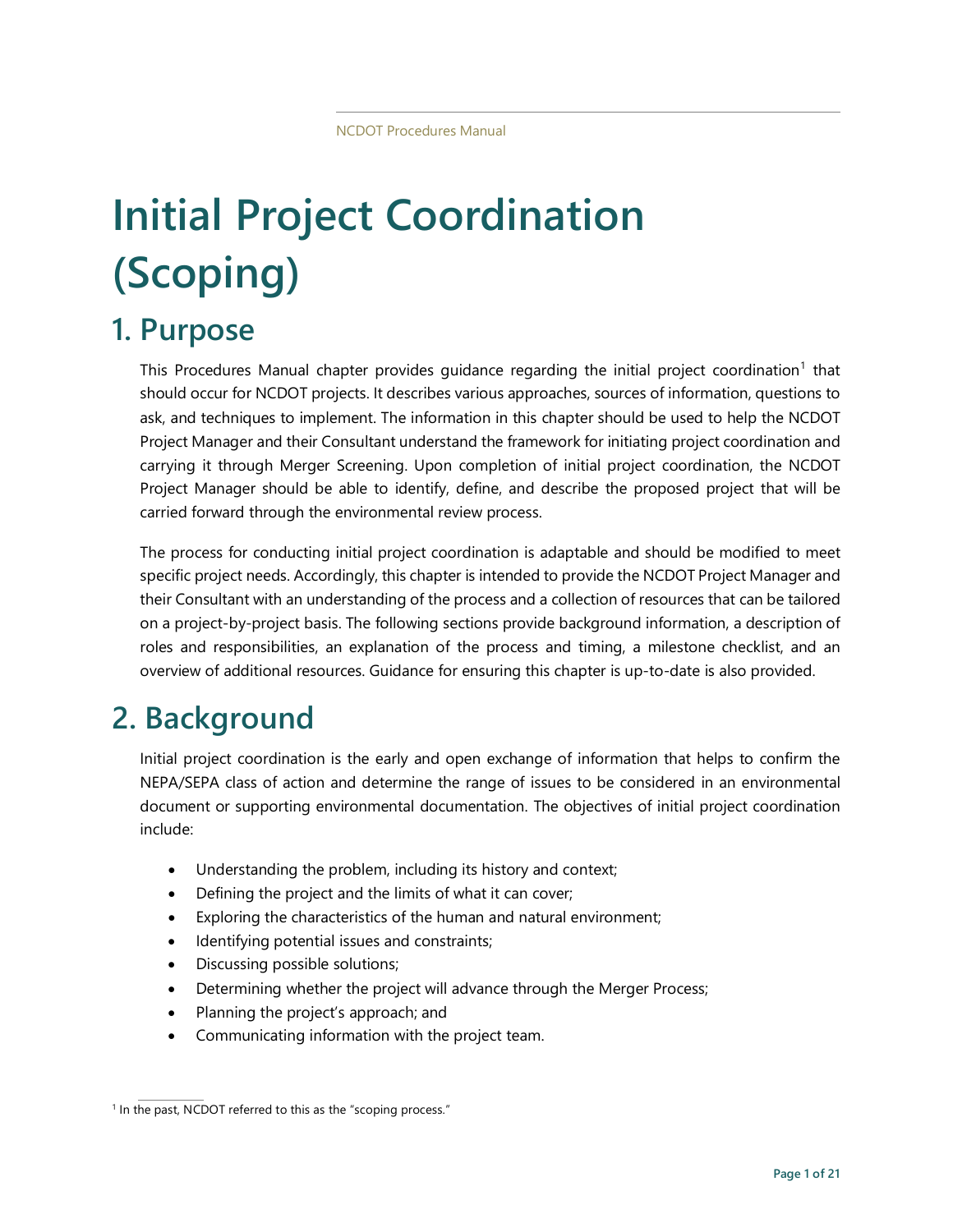# **Initial Project Coordination (Scoping)**

# **1. Purpose**

This Procedures Manual chapter provides quidance regarding the initial project coordination<sup>[1](#page-0-0)</sup> that should occur for NCDOT projects. It describes various approaches, sources of information, questions to ask, and techniques to implement. The information in this chapter should be used to help the NCDOT Project Manager and their Consultant understand the framework for initiating project coordination and carrying it through Merger Screening. Upon completion of initial project coordination, the NCDOT Project Manager should be able to identify, define, and describe the proposed project that will be carried forward through the environmental review process.

The process for conducting initial project coordination is adaptable and should be modified to meet specific project needs. Accordingly, this chapter is intended to provide the NCDOT Project Manager and their Consultant with an understanding of the process and a collection of resources that can be tailored on a project-by-project basis. The following sections provide background information, a description of roles and responsibilities, an explanation of the process and timing, a milestone checklist, and an overview of additional resources. Guidance for ensuring this chapter is up-to-date is also provided.

# **2. Background**

Initial project coordination is the early and open exchange of information that helps to confirm the NEPA/SEPA class of action and determine the range of issues to be considered in an environmental document or supporting environmental documentation. The objectives of initial project coordination include:

- Understanding the problem, including its history and context;
- Defining the project and the limits of what it can cover;
- Exploring the characteristics of the human and natural environment;
- Identifying potential issues and constraints;
- Discussing possible solutions;
- Determining whether the project will advance through the Merger Process;
- Planning the project's approach; and
- Communicating information with the project team.

<span id="page-0-0"></span><sup>&</sup>lt;sup>1</sup> In the past, NCDOT referred to this as the "scoping process."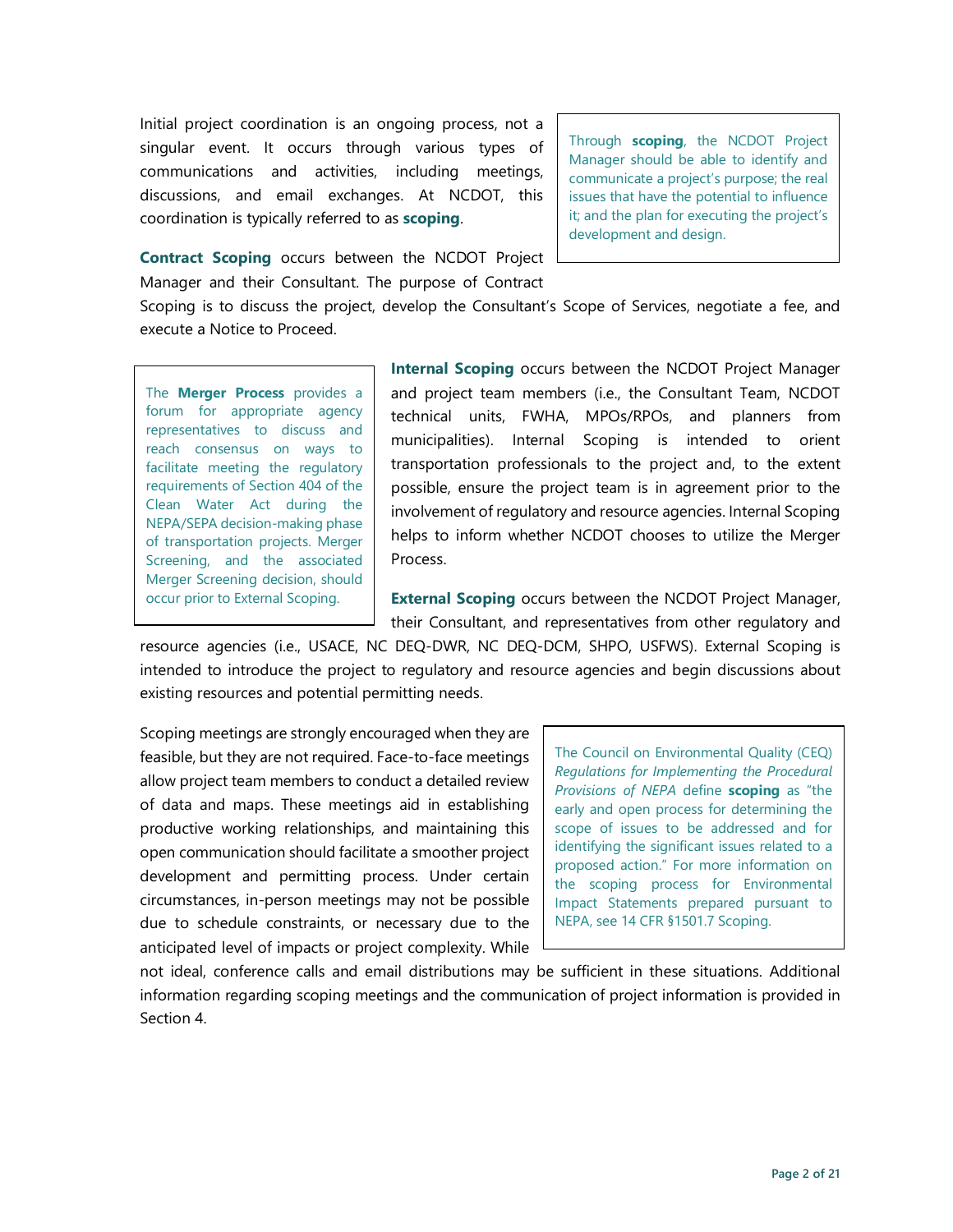Initial project coordination is an ongoing process, not a singular event. It occurs through various types of communications and activities, including meetings, discussions, and email exchanges. At NCDOT, this coordination is typically referred to as **scoping**.

Through **scoping**, the NCDOT Project Manager should be able to identify and communicate a project's purpose; the real issues that have the potential to influence it; and the plan for executing the project's development and design.

**Contract Scoping** occurs between the NCDOT Project Manager and their Consultant. The purpose of Contract

Scoping is to discuss the project, develop the Consultant's Scope of Services, negotiate a fee, and execute a Notice to Proceed.

The **Merger Process** provides a forum for appropriate agency representatives to discuss and reach consensus on ways to facilitate meeting the regulatory requirements of Section 404 of the Clean Water Act during the NEPA/SEPA decision-making phase of transportation projects. Merger Screening, and the associated Merger Screening decision, should occur prior to External Scoping.

**Internal Scoping** occurs between the NCDOT Project Manager and project team members (i.e., the Consultant Team, NCDOT technical units, FWHA, MPOs/RPOs, and planners from municipalities). Internal Scoping is intended to orient transportation professionals to the project and, to the extent possible, ensure the project team is in agreement prior to the involvement of regulatory and resource agencies. Internal Scoping helps to inform whether NCDOT chooses to utilize the Merger Process.

**External Scoping** occurs between the NCDOT Project Manager, their Consultant, and representatives from other regulatory and

resource agencies (i.e., USACE, NC DEQ-DWR, NC DEQ-DCM, SHPO, USFWS). External Scoping is intended to introduce the project to regulatory and resource agencies and begin discussions about existing resources and potential permitting needs.

Scoping meetings are strongly encouraged when they are feasible, but they are not required. Face-to-face meetings allow project team members to conduct a detailed review of data and maps. These meetings aid in establishing productive working relationships, and maintaining this open communication should facilitate a smoother project development and permitting process. Under certain circumstances, in-person meetings may not be possible due to schedule constraints, or necessary due to the anticipated level of impacts or project complexity. While

The Council on Environmental Quality (CEQ) *Regulations for Implementing the Procedural Provisions of NEPA* define **scoping** as "the early and open process for determining the scope of issues to be addressed and for identifying the significant issues related to a proposed action." For more information on the scoping process for Environmental Impact Statements prepared pursuant to NEPA, see 14 CFR §1501.7 Scoping.

not ideal, conference calls and email distributions may be sufficient in these situations. Additional information regarding scoping meetings and the communication of project information is provided in Section 4.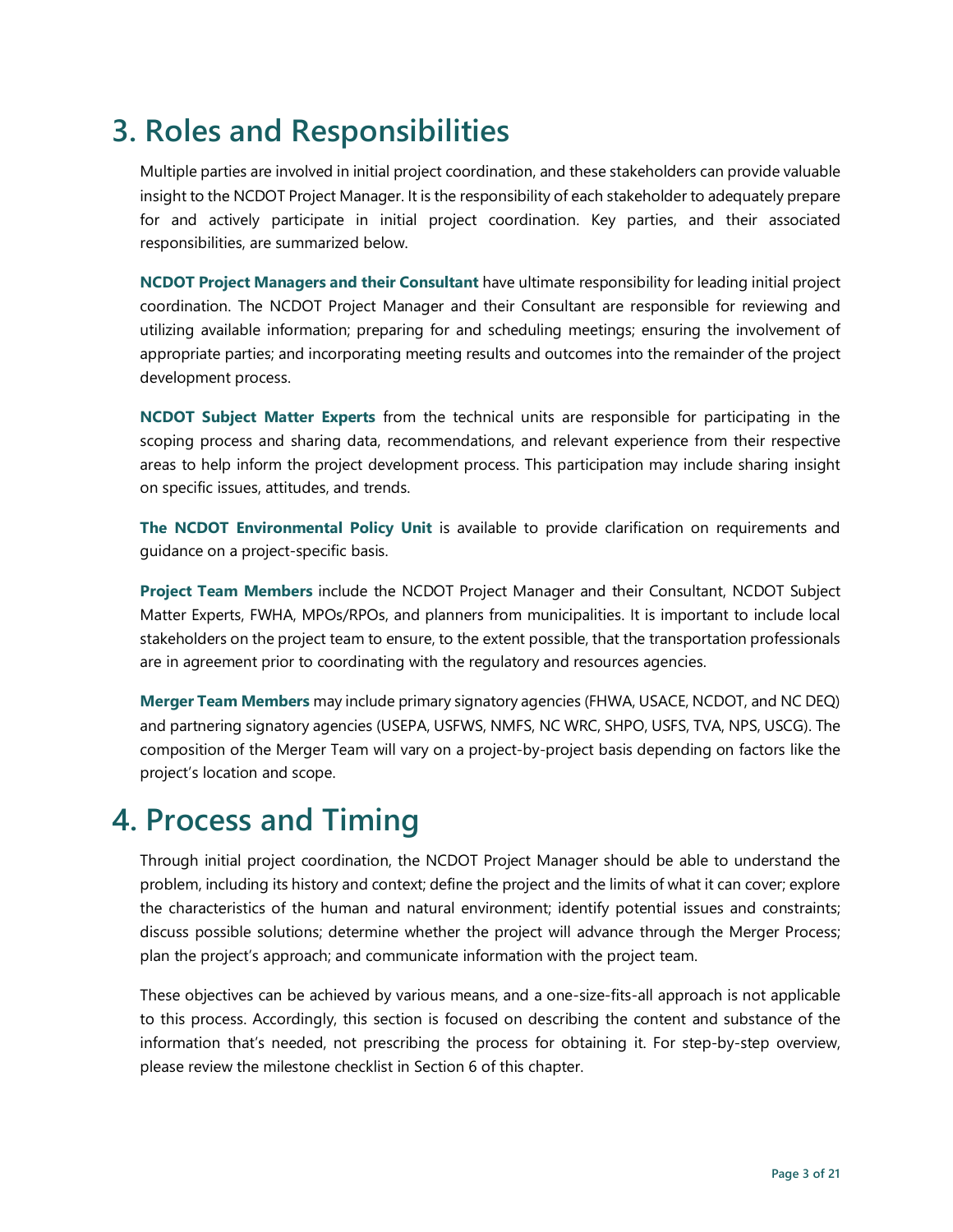# **3. Roles and Responsibilities**

Multiple parties are involved in initial project coordination, and these stakeholders can provide valuable insight to the NCDOT Project Manager. It is the responsibility of each stakeholder to adequately prepare for and actively participate in initial project coordination. Key parties, and their associated responsibilities, are summarized below.

**NCDOT Project Managers and their Consultant** have ultimate responsibility for leading initial project coordination. The NCDOT Project Manager and their Consultant are responsible for reviewing and utilizing available information; preparing for and scheduling meetings; ensuring the involvement of appropriate parties; and incorporating meeting results and outcomes into the remainder of the project development process.

**NCDOT Subject Matter Experts** from the technical units are responsible for participating in the scoping process and sharing data, recommendations, and relevant experience from their respective areas to help inform the project development process. This participation may include sharing insight on specific issues, attitudes, and trends.

**The NCDOT Environmental Policy Unit** is available to provide clarification on requirements and guidance on a project-specific basis.

**Project Team Members** include the NCDOT Project Manager and their Consultant, NCDOT Subject Matter Experts, FWHA, MPOs/RPOs, and planners from municipalities. It is important to include local stakeholders on the project team to ensure, to the extent possible, that the transportation professionals are in agreement prior to coordinating with the regulatory and resources agencies.

**Merger Team Members** may include primary signatory agencies (FHWA, USACE, NCDOT, and NC DEQ) and partnering signatory agencies (USEPA, USFWS, NMFS, NC WRC, SHPO, USFS, TVA, NPS, USCG). The composition of the Merger Team will vary on a project-by-project basis depending on factors like the project's location and scope.

# **4. Process and Timing**

Through initial project coordination, the NCDOT Project Manager should be able to understand the problem, including its history and context; define the project and the limits of what it can cover; explore the characteristics of the human and natural environment; identify potential issues and constraints; discuss possible solutions; determine whether the project will advance through the Merger Process; plan the project's approach; and communicate information with the project team.

These objectives can be achieved by various means, and a one-size-fits-all approach is not applicable to this process. Accordingly, this section is focused on describing the content and substance of the information that's needed, not prescribing the process for obtaining it. For step-by-step overview, please review the milestone checklist in Section 6 of this chapter.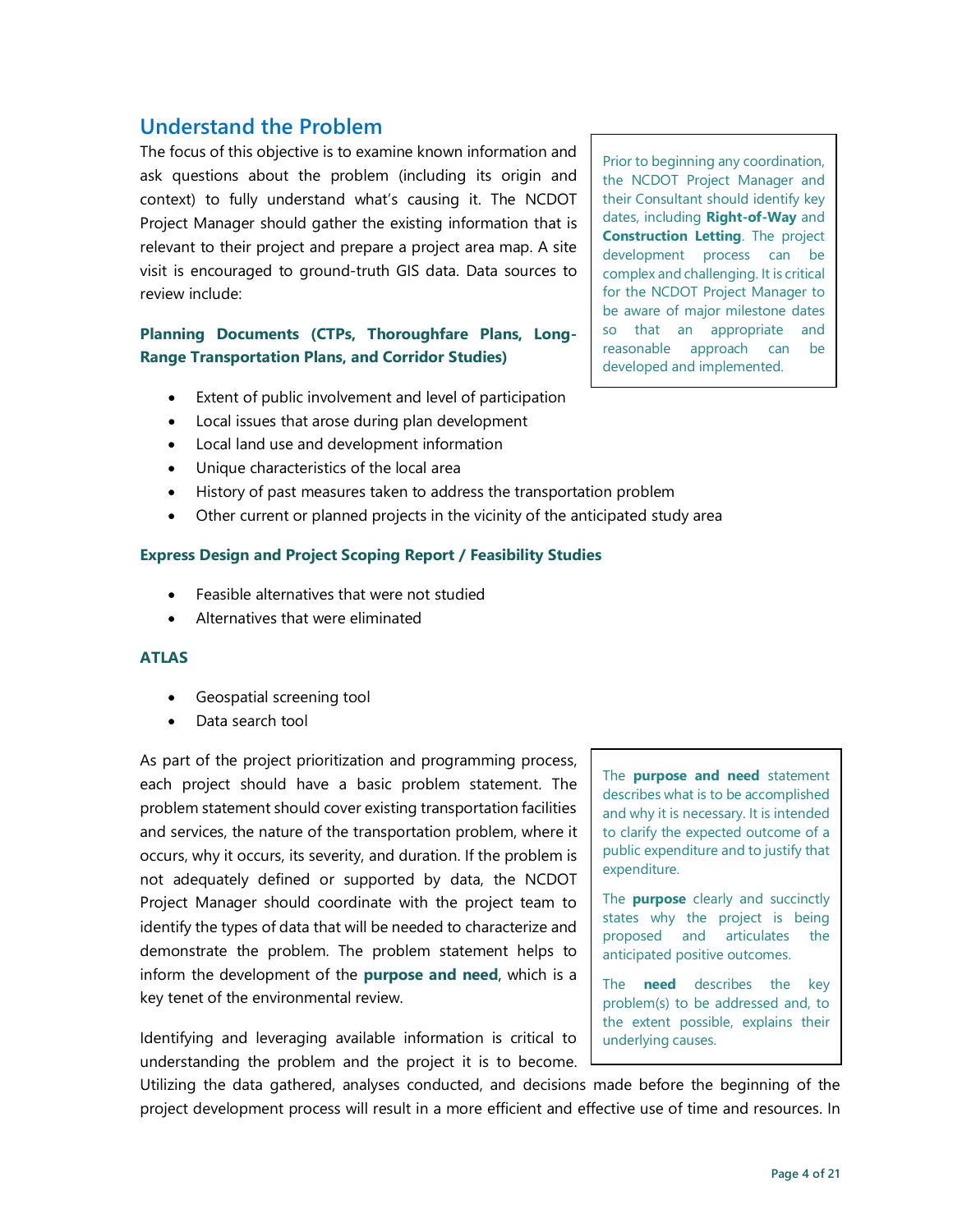## **Understand the Problem**

The focus of this objective is to examine known information and ask questions about the problem (including its origin and context) to fully understand what's causing it. The NCDOT Project Manager should gather the existing information that is relevant to their project and prepare a project area map. A site visit is encouraged to ground-truth GIS data. Data sources to review include:

#### **Planning Documents (CTPs, Thoroughfare Plans, Long-Range Transportation Plans, and Corridor Studies)**

- Extent of public involvement and level of participation
- Local issues that arose during plan development
- Local land use and development information
- Unique characteristics of the local area
- History of past measures taken to address the transportation problem
- Other current or planned projects in the vicinity of the anticipated study area

#### **Express Design and Project Scoping Report / Feasibility Studies**

- Feasible alternatives that were not studied
- Alternatives that were eliminated

#### **ATLAS**

- Geospatial screening tool
- Data search tool

As part of the project prioritization and programming process, each project should have a basic problem statement. The problem statement should cover existing transportation facilities and services, the nature of the transportation problem, where it occurs, why it occurs, its severity, and duration. If the problem is not adequately defined or supported by data, the NCDOT Project Manager should coordinate with the project team to identify the types of data that will be needed to characterize and demonstrate the problem. The problem statement helps to inform the development of the **purpose and need**, which is a key tenet of the environmental review.

Identifying and leveraging available information is critical to understanding the problem and the project it is to become. Prior to beginning any coordination, the NCDOT Project Manager and their Consultant should identify key dates, including **Right-of-Way** and **Construction Letting**. The project development process can be complex and challenging. It is critical for the NCDOT Project Manager to be aware of major milestone dates so that an appropriate and reasonable approach can be developed and implemented.

The **purpose and need** statement describes what is to be accomplished and why it is necessary. It is intended to clarify the expected outcome of a public expenditure and to justify that expenditure.

The **purpose** clearly and succinctly states why the project is being proposed and articulates the anticipated positive outcomes.

The **need** describes the key problem(s) to be addressed and, to the extent possible, explains their underlying causes.

Utilizing the data gathered, analyses conducted, and decisions made before the beginning of the project development process will result in a more efficient and effective use of time and resources. In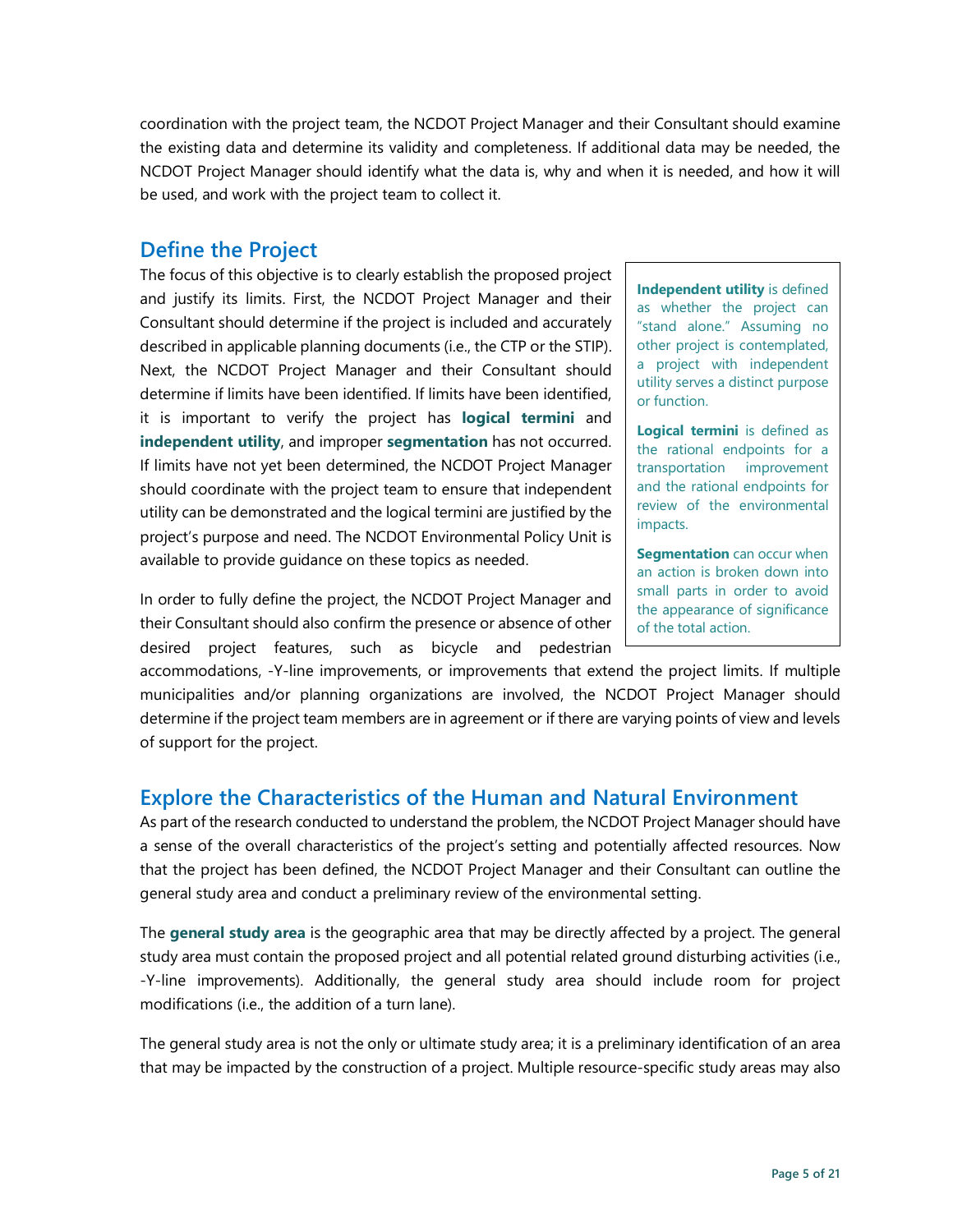coordination with the project team, the NCDOT Project Manager and their Consultant should examine the existing data and determine its validity and completeness. If additional data may be needed, the NCDOT Project Manager should identify what the data is, why and when it is needed, and how it will be used, and work with the project team to collect it.

### **Define the Project**

The focus of this objective is to clearly establish the proposed project and justify its limits. First, the NCDOT Project Manager and their Consultant should determine if the project is included and accurately described in applicable planning documents (i.e., the CTP or the STIP). Next, the NCDOT Project Manager and their Consultant should determine if limits have been identified. If limits have been identified, it is important to verify the project has **logical termini** and **independent utility**, and improper **segmentation** has not occurred. If limits have not yet been determined, the NCDOT Project Manager should coordinate with the project team to ensure that independent utility can be demonstrated and the logical termini are justified by the project's purpose and need. The NCDOT Environmental Policy Unit is available to provide guidance on these topics as needed.

In order to fully define the project, the NCDOT Project Manager and their Consultant should also confirm the presence or absence of other desired project features, such as bicycle and pedestrian

**Independent utility** is defined as whether the project can "stand alone." Assuming no other project is contemplated, a project with independent utility serves a distinct purpose or function.

**Logical termini** is defined as the rational endpoints for a transportation improvement and the rational endpoints for review of the environmental impacts.

**Segmentation** can occur when an action is broken down into small parts in order to avoid the appearance of significance of the total action.

accommodations, -Y-line improvements, or improvements that extend the project limits. If multiple municipalities and/or planning organizations are involved, the NCDOT Project Manager should determine if the project team members are in agreement or if there are varying points of view and levels of support for the project.

### **Explore the Characteristics of the Human and Natural Environment**

As part of the research conducted to understand the problem, the NCDOT Project Manager should have a sense of the overall characteristics of the project's setting and potentially affected resources. Now that the project has been defined, the NCDOT Project Manager and their Consultant can outline the general study area and conduct a preliminary review of the environmental setting.

The **general study area** is the geographic area that may be directly affected by a project. The general study area must contain the proposed project and all potential related ground disturbing activities (i.e., -Y-line improvements). Additionally, the general study area should include room for project modifications (i.e., the addition of a turn lane).

The general study area is not the only or ultimate study area; it is a preliminary identification of an area that may be impacted by the construction of a project. Multiple resource-specific study areas may also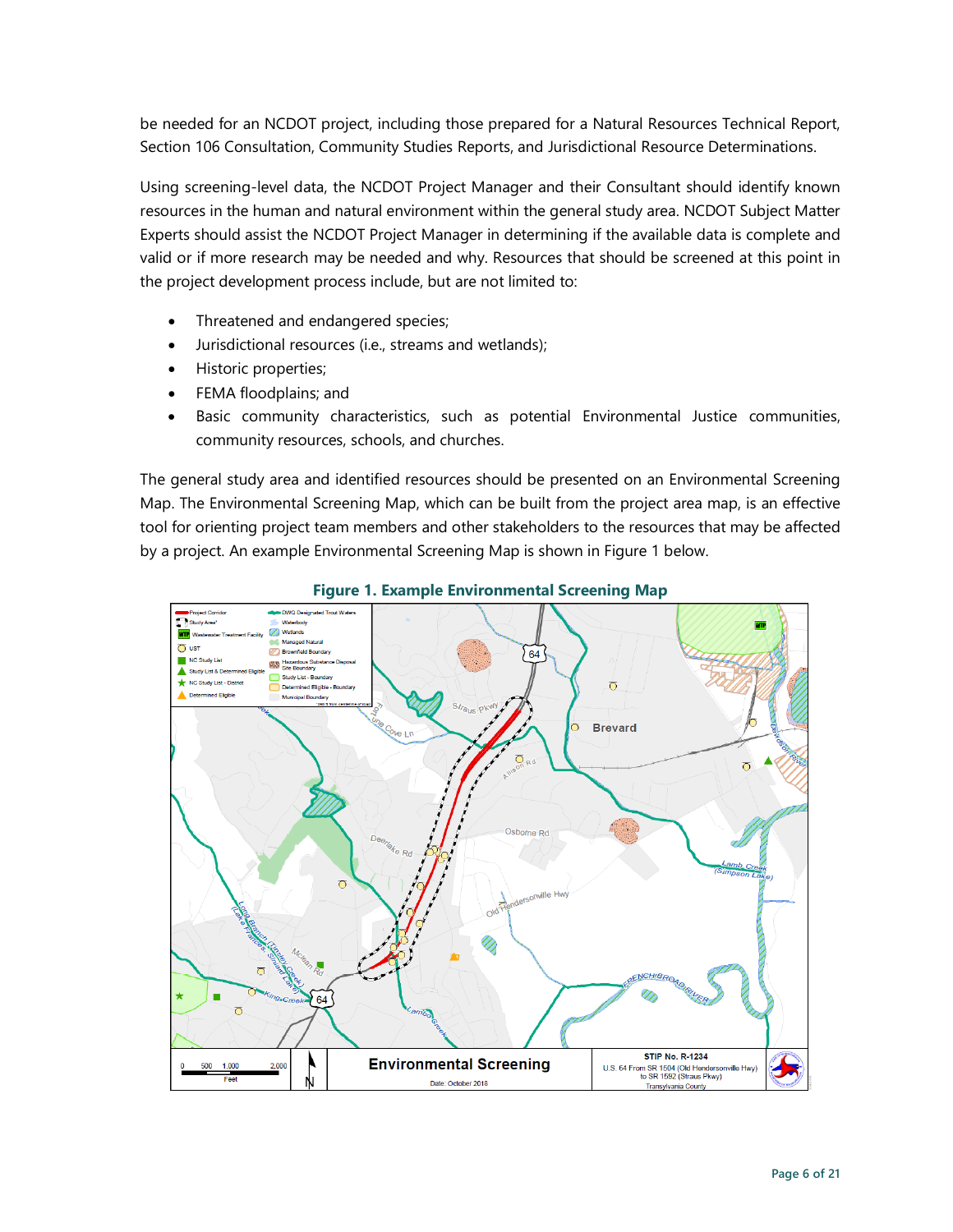be needed for an NCDOT project, including those prepared for a Natural Resources Technical Report, Section 106 Consultation, Community Studies Reports, and Jurisdictional Resource Determinations.

Using screening-level data, the NCDOT Project Manager and their Consultant should identify known resources in the human and natural environment within the general study area. NCDOT Subject Matter Experts should assist the NCDOT Project Manager in determining if the available data is complete and valid or if more research may be needed and why. Resources that should be screened at this point in the project development process include, but are not limited to:

- Threatened and endangered species;
- Jurisdictional resources (i.e., streams and wetlands);
- Historic properties;
- FEMA floodplains; and
- Basic community characteristics, such as potential Environmental Justice communities, community resources, schools, and churches.

The general study area and identified resources should be presented on an Environmental Screening Map. The Environmental Screening Map, which can be built from the project area map, is an effective tool for orienting project team members and other stakeholders to the resources that may be affected by a project. An example Environmental Screening Map is shown in Figure 1 below.



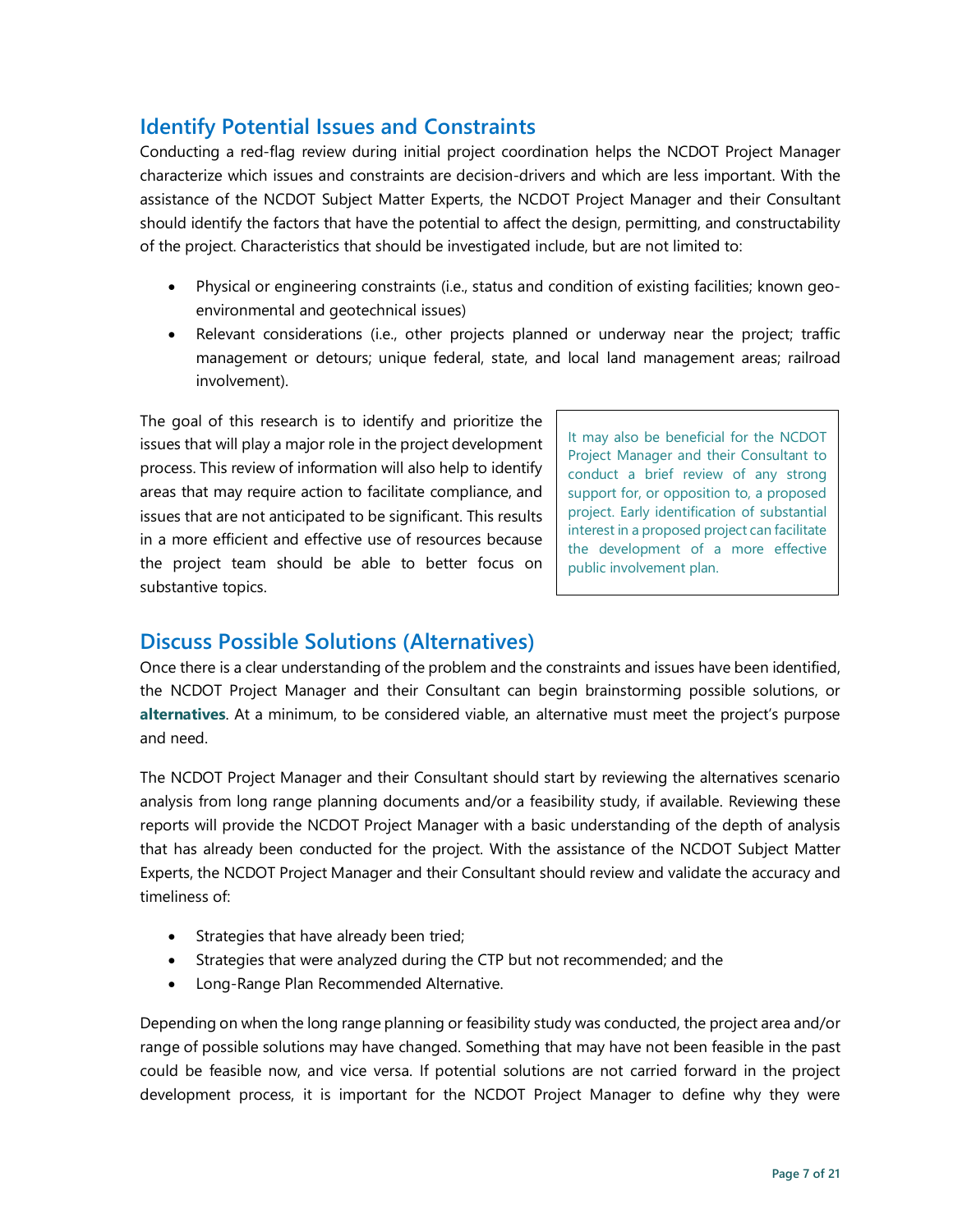# **Identify Potential Issues and Constraints**

Conducting a red-flag review during initial project coordination helps the NCDOT Project Manager characterize which issues and constraints are decision-drivers and which are less important. With the assistance of the NCDOT Subject Matter Experts, the NCDOT Project Manager and their Consultant should identify the factors that have the potential to affect the design, permitting, and constructability of the project. Characteristics that should be investigated include, but are not limited to:

- Physical or engineering constraints (i.e., status and condition of existing facilities; known geoenvironmental and geotechnical issues)
- Relevant considerations (i.e., other projects planned or underway near the project; traffic management or detours; unique federal, state, and local land management areas; railroad involvement).

The goal of this research is to identify and prioritize the issues that will play a major role in the project development process. This review of information will also help to identify areas that may require action to facilitate compliance, and issues that are not anticipated to be significant. This results in a more efficient and effective use of resources because the project team should be able to better focus on substantive topics.

It may also be beneficial for the NCDOT Project Manager and their Consultant to conduct a brief review of any strong support for, or opposition to, a proposed project. Early identification of substantial interest in a proposed project can facilitate the development of a more effective public involvement plan.

### **Discuss Possible Solutions (Alternatives)**

Once there is a clear understanding of the problem and the constraints and issues have been identified, the NCDOT Project Manager and their Consultant can begin brainstorming possible solutions, or **alternatives**. At a minimum, to be considered viable, an alternative must meet the project's purpose and need.

The NCDOT Project Manager and their Consultant should start by reviewing the alternatives scenario analysis from long range planning documents and/or a feasibility study, if available. Reviewing these reports will provide the NCDOT Project Manager with a basic understanding of the depth of analysis that has already been conducted for the project. With the assistance of the NCDOT Subject Matter Experts, the NCDOT Project Manager and their Consultant should review and validate the accuracy and timeliness of:

- Strategies that have already been tried;
- Strategies that were analyzed during the CTP but not recommended; and the
- Long-Range Plan Recommended Alternative.

Depending on when the long range planning or feasibility study was conducted, the project area and/or range of possible solutions may have changed. Something that may have not been feasible in the past could be feasible now, and vice versa. If potential solutions are not carried forward in the project development process, it is important for the NCDOT Project Manager to define why they were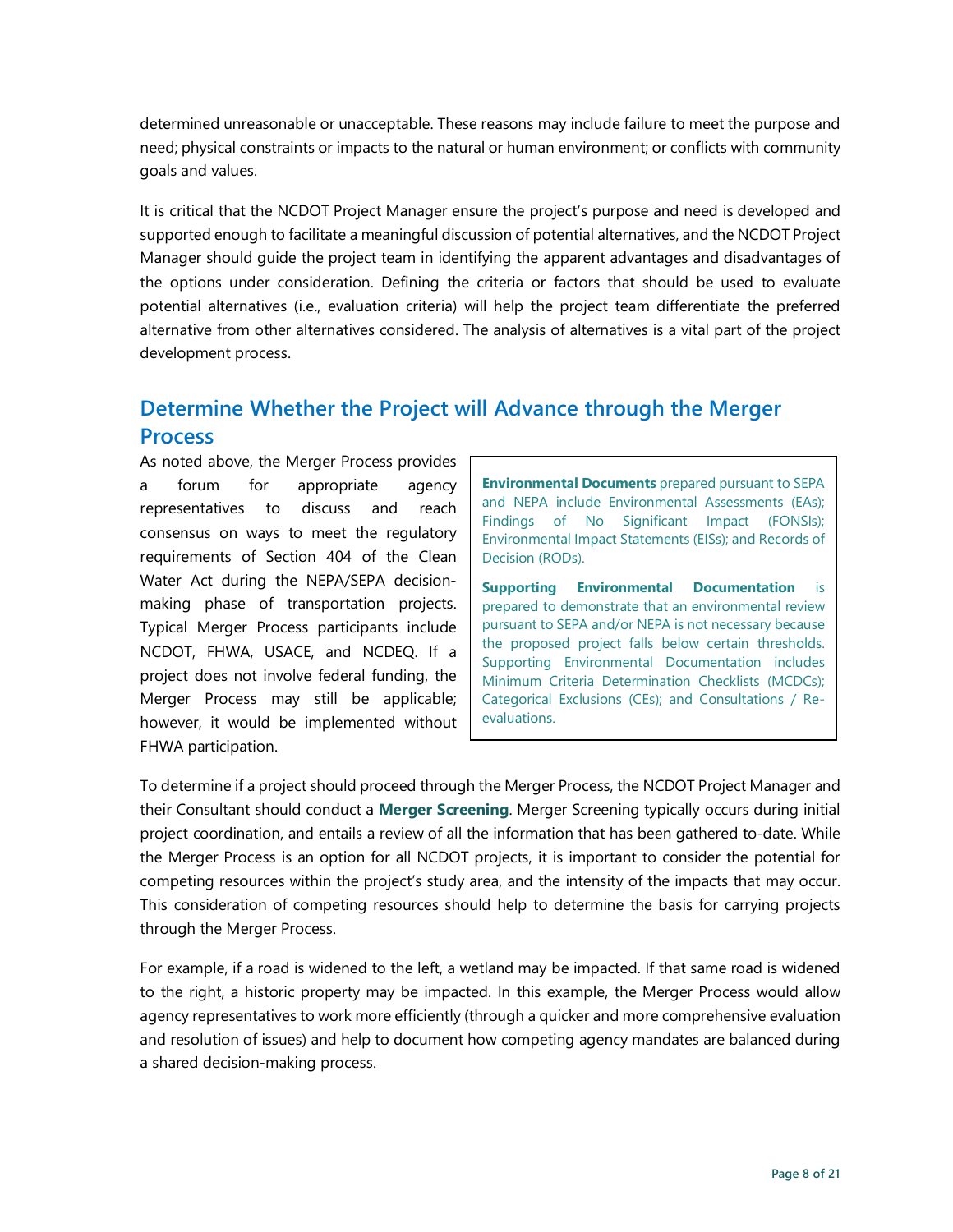determined unreasonable or unacceptable. These reasons may include failure to meet the purpose and need; physical constraints or impacts to the natural or human environment; or conflicts with community goals and values.

It is critical that the NCDOT Project Manager ensure the project's purpose and need is developed and supported enough to facilitate a meaningful discussion of potential alternatives, and the NCDOT Project Manager should guide the project team in identifying the apparent advantages and disadvantages of the options under consideration. Defining the criteria or factors that should be used to evaluate potential alternatives (i.e., evaluation criteria) will help the project team differentiate the preferred alternative from other alternatives considered. The analysis of alternatives is a vital part of the project development process.

# **Determine Whether the Project will Advance through the Merger Process**

As noted above, the Merger Process provides a forum for appropriate agency representatives to discuss and reach consensus on ways to meet the regulatory requirements of Section 404 of the Clean Water Act during the NEPA/SEPA decisionmaking phase of transportation projects. Typical Merger Process participants include NCDOT, FHWA, USACE, and NCDEQ. If a project does not involve federal funding, the Merger Process may still be applicable; however, it would be implemented without FHWA participation.

**Environmental Documents** prepared pursuant to SEPA and NEPA include Environmental Assessments (EAs); Findings of No Significant Impact (FONSIs); Environmental Impact Statements (EISs); and Records of Decision (RODs).

**Supporting Environmental Documentation** is prepared to demonstrate that an environmental review pursuant to SEPA and/or NEPA is not necessary because the proposed project falls below certain thresholds. Supporting Environmental Documentation includes Minimum Criteria Determination Checklists (MCDCs); Categorical Exclusions (CEs); and Consultations / Reevaluations.

To determine if a project should proceed through the Merger Process, the NCDOT Project Manager and their Consultant should conduct a **Merger Screening**. Merger Screening typically occurs during initial project coordination, and entails a review of all the information that has been gathered to-date. While the Merger Process is an option for all NCDOT projects, it is important to consider the potential for competing resources within the project's study area, and the intensity of the impacts that may occur. This consideration of competing resources should help to determine the basis for carrying projects through the Merger Process.

For example, if a road is widened to the left, a wetland may be impacted. If that same road is widened to the right, a historic property may be impacted. In this example, the Merger Process would allow agency representatives to work more efficiently (through a quicker and more comprehensive evaluation and resolution of issues) and help to document how competing agency mandates are balanced during a shared decision-making process.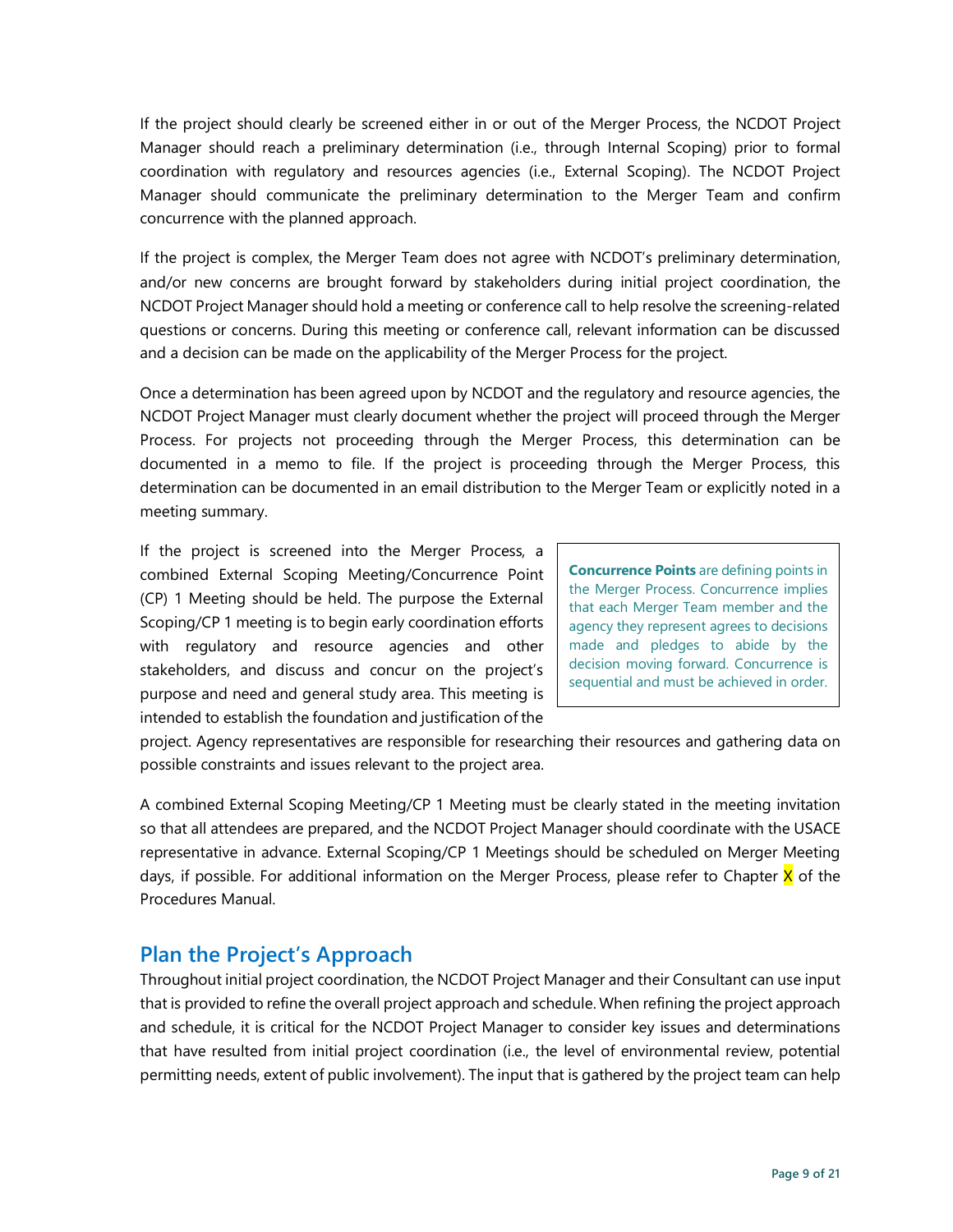If the project should clearly be screened either in or out of the Merger Process, the NCDOT Project Manager should reach a preliminary determination (i.e., through Internal Scoping) prior to formal coordination with regulatory and resources agencies (i.e., External Scoping). The NCDOT Project Manager should communicate the preliminary determination to the Merger Team and confirm concurrence with the planned approach.

If the project is complex, the Merger Team does not agree with NCDOT's preliminary determination, and/or new concerns are brought forward by stakeholders during initial project coordination, the NCDOT Project Manager should hold a meeting or conference call to help resolve the screening-related questions or concerns. During this meeting or conference call, relevant information can be discussed and a decision can be made on the applicability of the Merger Process for the project.

Once a determination has been agreed upon by NCDOT and the regulatory and resource agencies, the NCDOT Project Manager must clearly document whether the project will proceed through the Merger Process. For projects not proceeding through the Merger Process, this determination can be documented in a memo to file. If the project is proceeding through the Merger Process, this determination can be documented in an email distribution to the Merger Team or explicitly noted in a meeting summary.

If the project is screened into the Merger Process, a combined External Scoping Meeting/Concurrence Point (CP) 1 Meeting should be held. The purpose the External Scoping/CP 1 meeting is to begin early coordination efforts with regulatory and resource agencies and other stakeholders, and discuss and concur on the project's purpose and need and general study area. This meeting is intended to establish the foundation and justification of the

**Concurrence Points** are defining points in the Merger Process. Concurrence implies that each Merger Team member and the agency they represent agrees to decisions made and pledges to abide by the decision moving forward. Concurrence is sequential and must be achieved in order.

project. Agency representatives are responsible for researching their resources and gathering data on possible constraints and issues relevant to the project area.

A combined External Scoping Meeting/CP 1 Meeting must be clearly stated in the meeting invitation so that all attendees are prepared, and the NCDOT Project Manager should coordinate with the USACE representative in advance. External Scoping/CP 1 Meetings should be scheduled on Merger Meeting days, if possible. For additional information on the Merger Process, please refer to Chapter X of the Procedures Manual.

### **Plan the Project's Approach**

Throughout initial project coordination, the NCDOT Project Manager and their Consultant can use input that is provided to refine the overall project approach and schedule. When refining the project approach and schedule, it is critical for the NCDOT Project Manager to consider key issues and determinations that have resulted from initial project coordination (i.e., the level of environmental review, potential permitting needs, extent of public involvement). The input that is gathered by the project team can help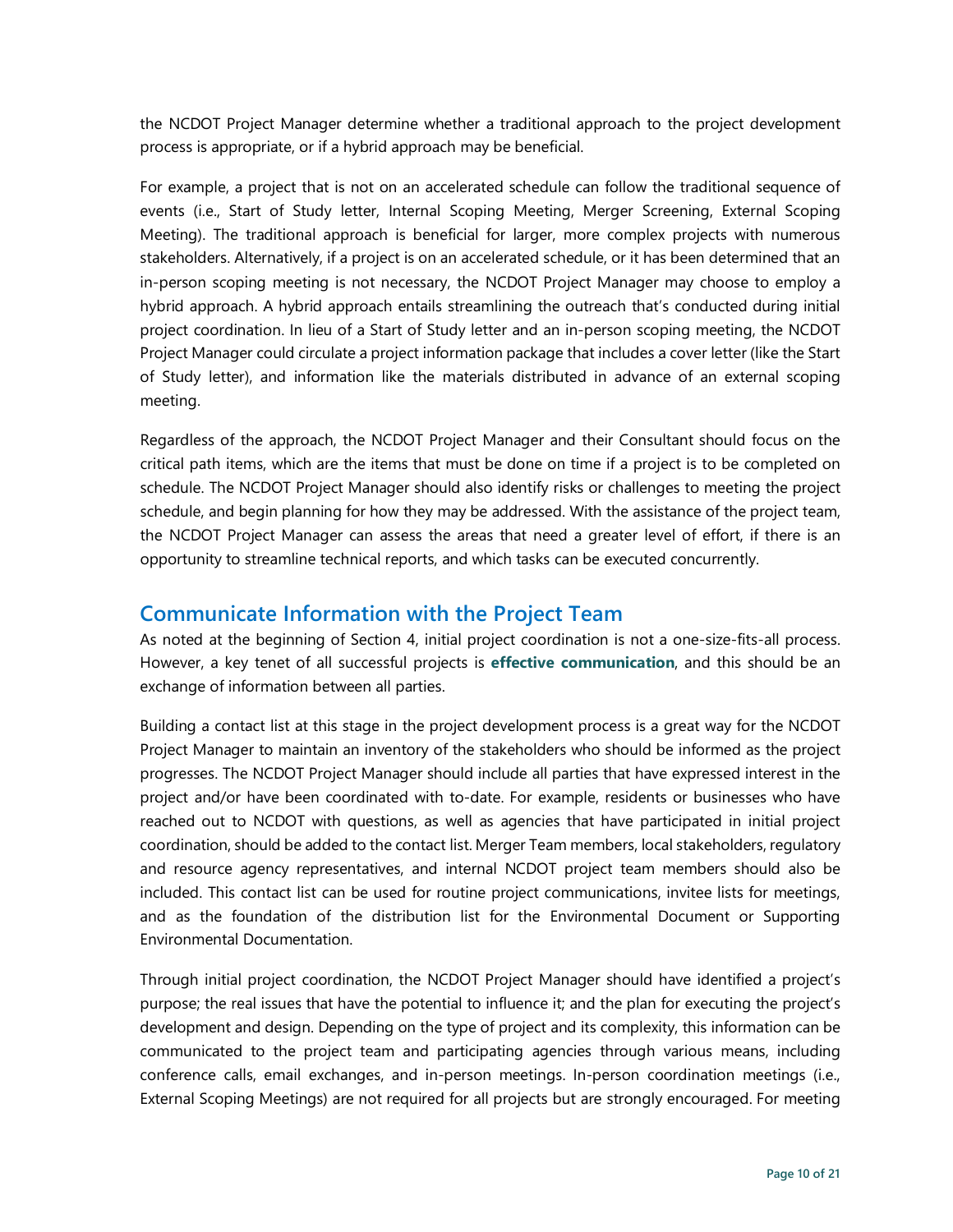the NCDOT Project Manager determine whether a traditional approach to the project development process is appropriate, or if a hybrid approach may be beneficial.

For example, a project that is not on an accelerated schedule can follow the traditional sequence of events (i.e., Start of Study letter, Internal Scoping Meeting, Merger Screening, External Scoping Meeting). The traditional approach is beneficial for larger, more complex projects with numerous stakeholders. Alternatively, if a project is on an accelerated schedule, or it has been determined that an in-person scoping meeting is not necessary, the NCDOT Project Manager may choose to employ a hybrid approach. A hybrid approach entails streamlining the outreach that's conducted during initial project coordination. In lieu of a Start of Study letter and an in-person scoping meeting, the NCDOT Project Manager could circulate a project information package that includes a cover letter (like the Start of Study letter), and information like the materials distributed in advance of an external scoping meeting.

Regardless of the approach, the NCDOT Project Manager and their Consultant should focus on the critical path items, which are the items that must be done on time if a project is to be completed on schedule. The NCDOT Project Manager should also identify risks or challenges to meeting the project schedule, and begin planning for how they may be addressed. With the assistance of the project team, the NCDOT Project Manager can assess the areas that need a greater level of effort, if there is an opportunity to streamline technical reports, and which tasks can be executed concurrently.

### **Communicate Information with the Project Team**

As noted at the beginning of Section 4, initial project coordination is not a one-size-fits-all process. However, a key tenet of all successful projects is **effective communication**, and this should be an exchange of information between all parties.

Building a contact list at this stage in the project development process is a great way for the NCDOT Project Manager to maintain an inventory of the stakeholders who should be informed as the project progresses. The NCDOT Project Manager should include all parties that have expressed interest in the project and/or have been coordinated with to-date. For example, residents or businesses who have reached out to NCDOT with questions, as well as agencies that have participated in initial project coordination, should be added to the contact list. Merger Team members, local stakeholders, regulatory and resource agency representatives, and internal NCDOT project team members should also be included. This contact list can be used for routine project communications, invitee lists for meetings, and as the foundation of the distribution list for the Environmental Document or Supporting Environmental Documentation.

Through initial project coordination, the NCDOT Project Manager should have identified a project's purpose; the real issues that have the potential to influence it; and the plan for executing the project's development and design. Depending on the type of project and its complexity, this information can be communicated to the project team and participating agencies through various means, including conference calls, email exchanges, and in-person meetings. In-person coordination meetings (i.e., External Scoping Meetings) are not required for all projects but are strongly encouraged. For meeting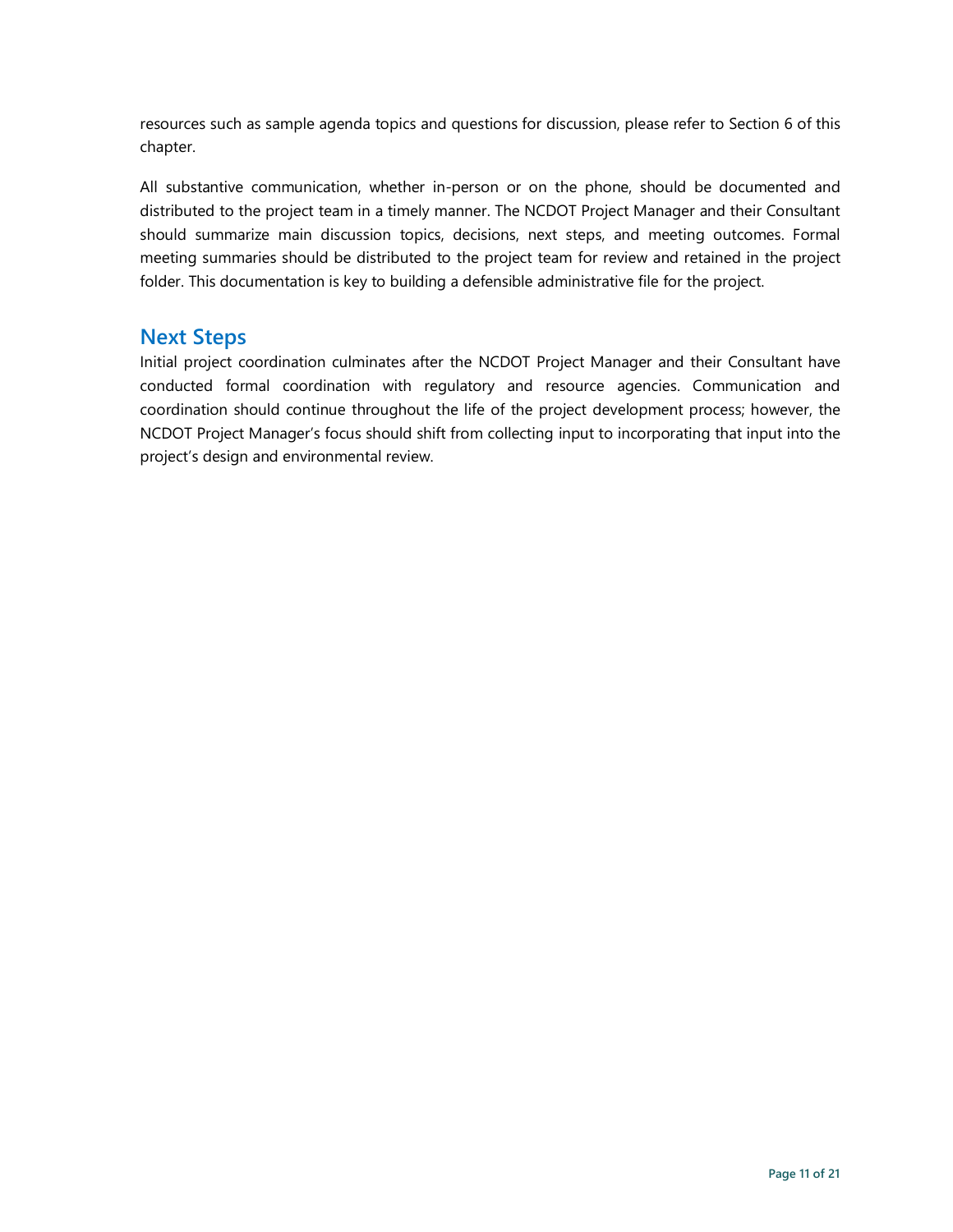resources such as sample agenda topics and questions for discussion, please refer to Section 6 of this chapter.

All substantive communication, whether in-person or on the phone, should be documented and distributed to the project team in a timely manner. The NCDOT Project Manager and their Consultant should summarize main discussion topics, decisions, next steps, and meeting outcomes. Formal meeting summaries should be distributed to the project team for review and retained in the project folder. This documentation is key to building a defensible administrative file for the project.

#### **Next Steps**

Initial project coordination culminates after the NCDOT Project Manager and their Consultant have conducted formal coordination with regulatory and resource agencies. Communication and coordination should continue throughout the life of the project development process; however, the NCDOT Project Manager's focus should shift from collecting input to incorporating that input into the project's design and environmental review.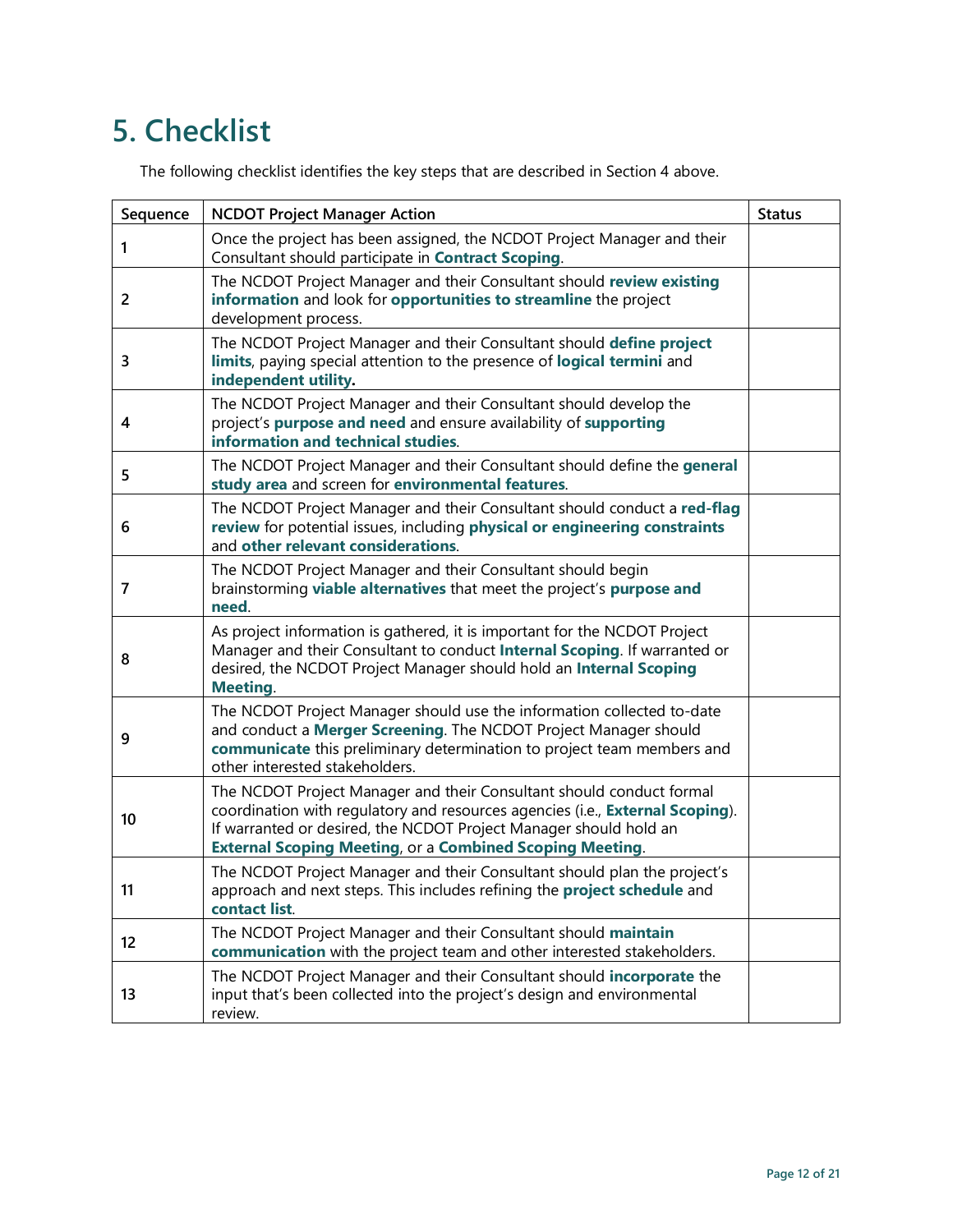# **5. Checklist**

The following checklist identifies the key steps that are described in Section 4 above.

| Sequence | <b>NCDOT Project Manager Action</b>                                                                                                                                                                                                                                                           | <b>Status</b> |
|----------|-----------------------------------------------------------------------------------------------------------------------------------------------------------------------------------------------------------------------------------------------------------------------------------------------|---------------|
| 1        | Once the project has been assigned, the NCDOT Project Manager and their<br>Consultant should participate in Contract Scoping.                                                                                                                                                                 |               |
| 2        | The NCDOT Project Manager and their Consultant should review existing<br>information and look for opportunities to streamline the project<br>development process.                                                                                                                             |               |
| 3        | The NCDOT Project Manager and their Consultant should define project<br>limits, paying special attention to the presence of logical termini and<br>independent utility.                                                                                                                       |               |
| 4        | The NCDOT Project Manager and their Consultant should develop the<br>project's purpose and need and ensure availability of supporting<br>information and technical studies.                                                                                                                   |               |
| 5        | The NCDOT Project Manager and their Consultant should define the general<br>study area and screen for environmental features.                                                                                                                                                                 |               |
| 6        | The NCDOT Project Manager and their Consultant should conduct a red-flag<br>review for potential issues, including physical or engineering constraints<br>and other relevant considerations.                                                                                                  |               |
| 7        | The NCDOT Project Manager and their Consultant should begin<br>brainstorming viable alternatives that meet the project's purpose and<br>need.                                                                                                                                                 |               |
| 8        | As project information is gathered, it is important for the NCDOT Project<br>Manager and their Consultant to conduct Internal Scoping. If warranted or<br>desired, the NCDOT Project Manager should hold an Internal Scoping<br><b>Meeting.</b>                                               |               |
| 9        | The NCDOT Project Manager should use the information collected to-date<br>and conduct a Merger Screening. The NCDOT Project Manager should<br>communicate this preliminary determination to project team members and<br>other interested stakeholders.                                        |               |
| 10       | The NCDOT Project Manager and their Consultant should conduct formal<br>coordination with regulatory and resources agencies (i.e., External Scoping).<br>If warranted or desired, the NCDOT Project Manager should hold an<br><b>External Scoping Meeting, or a Combined Scoping Meeting.</b> |               |
| 11       | The NCDOT Project Manager and their Consultant should plan the project's<br>approach and next steps. This includes refining the project schedule and<br>contact list.                                                                                                                         |               |
| 12       | The NCDOT Project Manager and their Consultant should maintain<br>communication with the project team and other interested stakeholders.                                                                                                                                                      |               |
| 13       | The NCDOT Project Manager and their Consultant should incorporate the<br>input that's been collected into the project's design and environmental<br>review.                                                                                                                                   |               |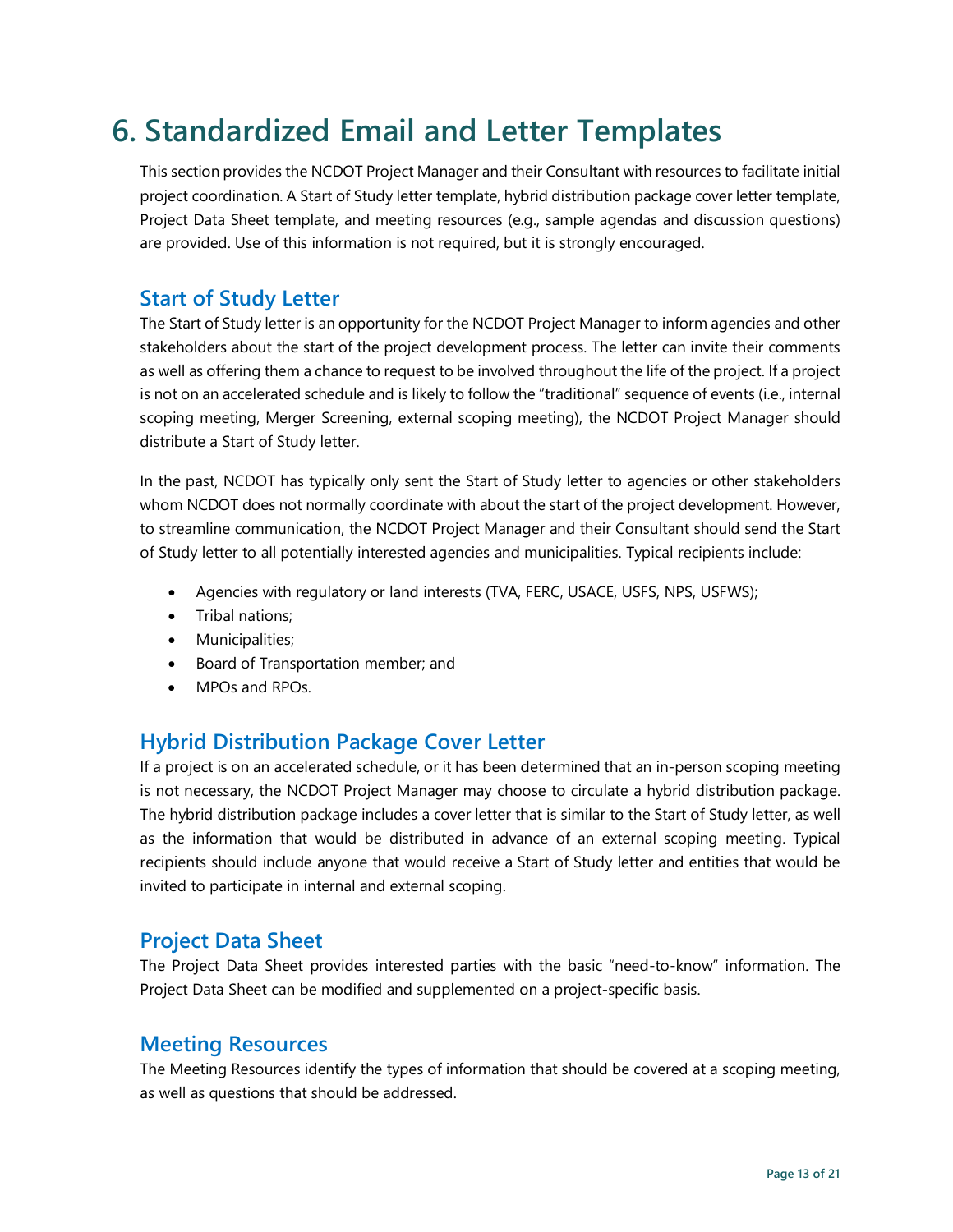# **6. Standardized Email and Letter Templates**

This section provides the NCDOT Project Manager and their Consultant with resources to facilitate initial project coordination. A Start of Study letter template, hybrid distribution package cover letter template, Project Data Sheet template, and meeting resources (e.g., sample agendas and discussion questions) are provided. Use of this information is not required, but it is strongly encouraged.

### **Start of Study Letter**

The Start of Study letter is an opportunity for the NCDOT Project Manager to inform agencies and other stakeholders about the start of the project development process. The letter can invite their comments as well as offering them a chance to request to be involved throughout the life of the project. If a project is not on an accelerated schedule and is likely to follow the "traditional" sequence of events (i.e., internal scoping meeting, Merger Screening, external scoping meeting), the NCDOT Project Manager should distribute a Start of Study letter.

In the past, NCDOT has typically only sent the Start of Study letter to agencies or other stakeholders whom NCDOT does not normally coordinate with about the start of the project development. However, to streamline communication, the NCDOT Project Manager and their Consultant should send the Start of Study letter to all potentially interested agencies and municipalities. Typical recipients include:

- Agencies with regulatory or land interests (TVA, FERC, USACE, USFS, NPS, USFWS);
- Tribal nations;
- Municipalities;
- Board of Transportation member; and
- MPOs and RPOs.

### **Hybrid Distribution Package Cover Letter**

If a project is on an accelerated schedule, or it has been determined that an in-person scoping meeting is not necessary, the NCDOT Project Manager may choose to circulate a hybrid distribution package. The hybrid distribution package includes a cover letter that is similar to the Start of Study letter, as well as the information that would be distributed in advance of an external scoping meeting. Typical recipients should include anyone that would receive a Start of Study letter and entities that would be invited to participate in internal and external scoping.

### **Project Data Sheet**

The Project Data Sheet provides interested parties with the basic "need-to-know" information. The Project Data Sheet can be modified and supplemented on a project-specific basis.

### **Meeting Resources**

The Meeting Resources identify the types of information that should be covered at a scoping meeting, as well as questions that should be addressed.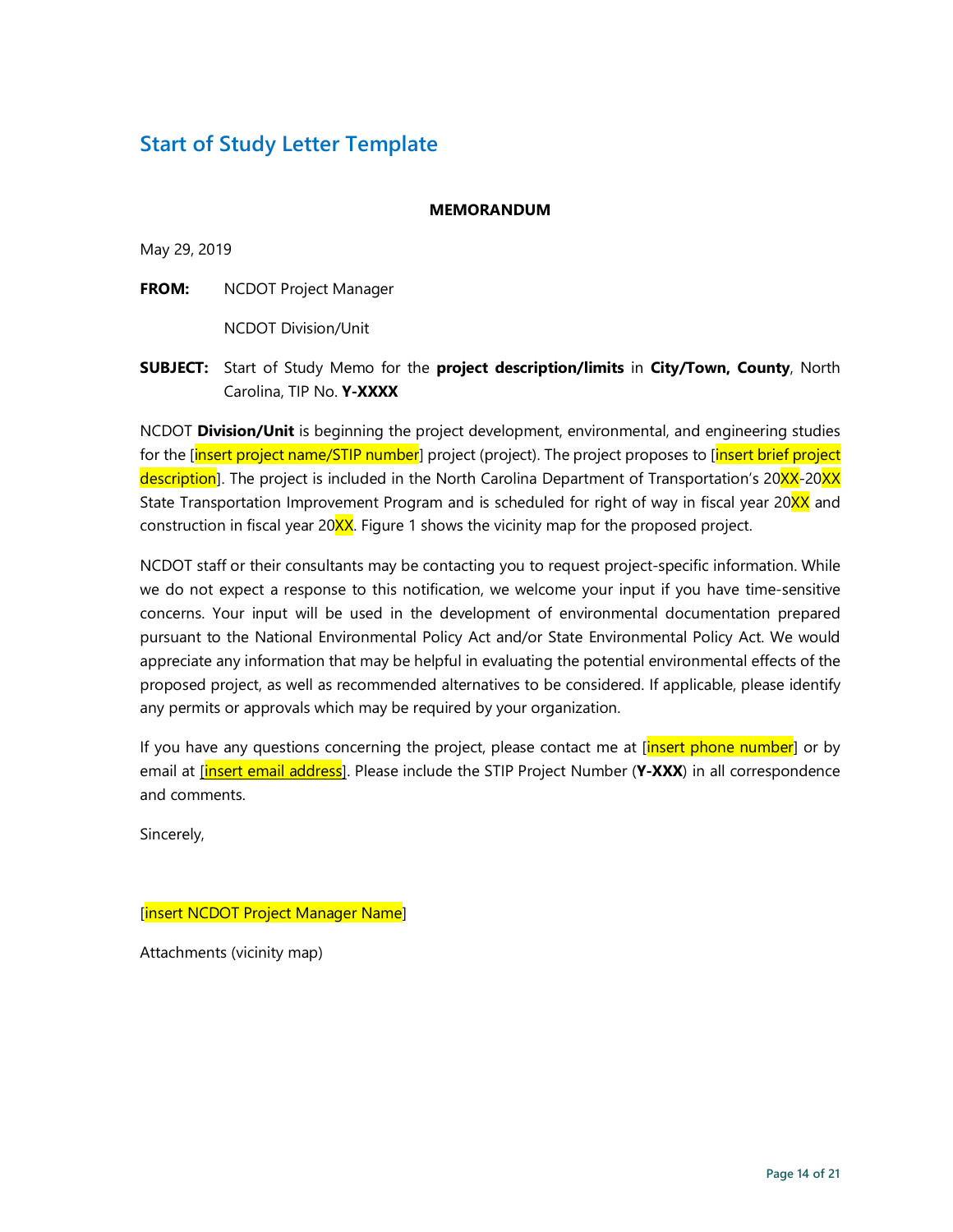# **Start of Study Letter Template**

#### **MEMORANDUM**

May 29, 2019

**FROM:** NCDOT Project Manager

NCDOT Division/Unit

#### **SUBJECT:** Start of Study Memo for the **project description/limits** in **City/Town, County**, North Carolina, TIP No. **Y-XXXX**

NCDOT **Division/Unit** is beginning the project development, environmental, and engineering studies for the [insert project name/STIP number] project (project). The project proposes to [insert brief project description]. The project is included in the North Carolina Department of Transportation's 20XX-20XX State Transportation Improvement Program and is scheduled for right of way in fiscal year 20XX and construction in fiscal year 20XX. Figure 1 shows the vicinity map for the proposed project.

NCDOT staff or their consultants may be contacting you to request project-specific information. While we do not expect a response to this notification, we welcome your input if you have time-sensitive concerns. Your input will be used in the development of environmental documentation prepared pursuant to the National Environmental Policy Act and/or State Environmental Policy Act. We would appreciate any information that may be helpful in evaluating the potential environmental effects of the proposed project, as well as recommended alternatives to be considered. If applicable, please identify any permits or approvals which may be required by your organization.

If you have any questions concerning the project, please contact me at *[insert phone number*] or by email at [insert email address]. Please include the STIP Project Number (**Y-XXX**) in all correspondence and comments.

Sincerely,

[insert NCDOT Project Manager Name]

Attachments (vicinity map)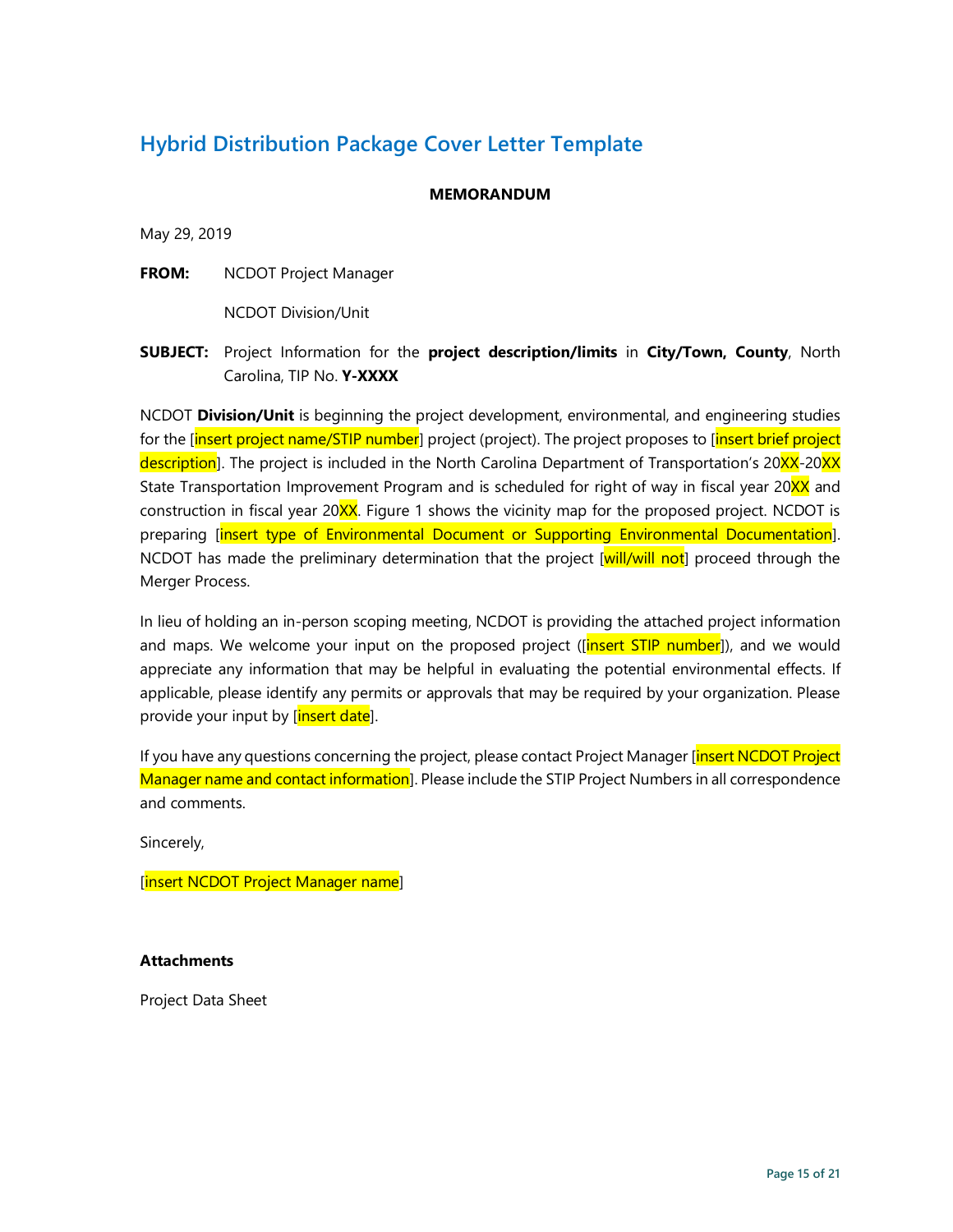# **Hybrid Distribution Package Cover Letter Template**

#### **MEMORANDUM**

May 29, 2019

**FROM:** NCDOT Project Manager

NCDOT Division/Unit

**SUBJECT:** Project Information for the **project description/limits** in **City/Town, County**, North Carolina, TIP No. **Y-XXXX**

NCDOT **Division/Unit** is beginning the project development, environmental, and engineering studies for the <u>[insert project name/STIP number</u>] project (project). The project proposes to [insert brief project description]. The project is included in the North Carolina Department of Transportation's 20XX-20XX State Transportation Improvement Program and is scheduled for right of way in fiscal year 20XX and construction in fiscal year 20XX. Figure 1 shows the vicinity map for the proposed project. NCDOT is preparing [insert type of Environmental Document or Supporting Environmental Documentation]. NCDOT has made the preliminary determination that the project [will/will not] proceed through the Merger Process.

In lieu of holding an in-person scoping meeting, NCDOT is providing the attached project information and maps. We welcome your input on the proposed project (*[insert STIP number]*), and we would appreciate any information that may be helpful in evaluating the potential environmental effects. If applicable, please identify any permits or approvals that may be required by your organization. Please provide your input by [insert date].

If you have any questions concerning the project, please contact Project Manager [insert NCDOT Project Manager name and contact information]. Please include the STIP Project Numbers in all correspondence and comments.

Sincerely,

[insert NCDOT Project Manager name]

#### **Attachments**

Project Data Sheet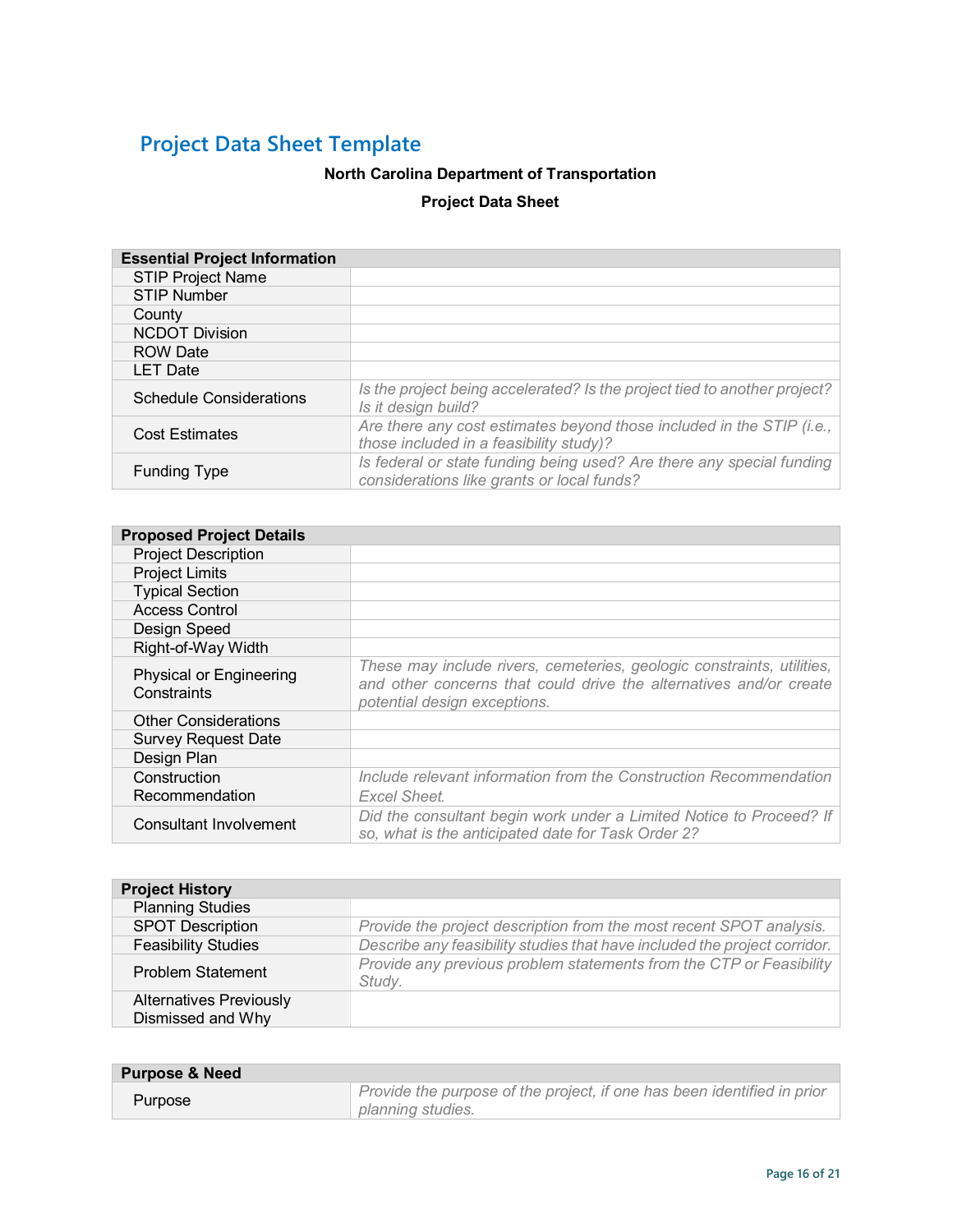# **Project Data Sheet Template**

#### **North Carolina Department of Transportation**

#### **Project Data Sheet**

| <b>Essential Project Information</b> |                                                                                                                     |  |
|--------------------------------------|---------------------------------------------------------------------------------------------------------------------|--|
| <b>STIP Project Name</b>             |                                                                                                                     |  |
| <b>STIP Number</b>                   |                                                                                                                     |  |
| County                               |                                                                                                                     |  |
| <b>NCDOT Division</b>                |                                                                                                                     |  |
| <b>ROW Date</b>                      |                                                                                                                     |  |
| <b>LET Date</b>                      |                                                                                                                     |  |
| <b>Schedule Considerations</b>       | Is the project being accelerated? Is the project tied to another project?<br>Is it design build?                    |  |
| Cost Estimates                       | Are there any cost estimates beyond those included in the STIP (i.e.,<br>those included in a feasibility study)?    |  |
| <b>Funding Type</b>                  | Is federal or state funding being used? Are there any special funding<br>considerations like grants or local funds? |  |

| <b>Proposed Project Details</b>        |                                                                                                                                                                              |  |
|----------------------------------------|------------------------------------------------------------------------------------------------------------------------------------------------------------------------------|--|
| <b>Project Description</b>             |                                                                                                                                                                              |  |
| <b>Project Limits</b>                  |                                                                                                                                                                              |  |
| <b>Typical Section</b>                 |                                                                                                                                                                              |  |
| <b>Access Control</b>                  |                                                                                                                                                                              |  |
| Design Speed                           |                                                                                                                                                                              |  |
| Right-of-Way Width                     |                                                                                                                                                                              |  |
| Physical or Engineering<br>Constraints | These may include rivers, cemeteries, geologic constraints, utilities,<br>and other concerns that could drive the alternatives and/or create<br>potential design exceptions. |  |
| <b>Other Considerations</b>            |                                                                                                                                                                              |  |
| <b>Survey Request Date</b>             |                                                                                                                                                                              |  |
| Design Plan                            |                                                                                                                                                                              |  |
| Construction<br>Recommendation         | Include relevant information from the Construction Recommendation                                                                                                            |  |
|                                        | Excel Sheet.                                                                                                                                                                 |  |
| <b>Consultant Involvement</b>          | Did the consultant begin work under a Limited Notice to Proceed? If<br>so, what is the anticipated date for Task Order 2?                                                    |  |

| <b>Project History</b>                              |                                                                               |
|-----------------------------------------------------|-------------------------------------------------------------------------------|
| <b>Planning Studies</b>                             |                                                                               |
| <b>SPOT Description</b>                             | Provide the project description from the most recent SPOT analysis.           |
| <b>Feasibility Studies</b>                          | Describe any feasibility studies that have included the project corridor.     |
| <b>Problem Statement</b>                            | Provide any previous problem statements from the CTP or Feasibility<br>Study. |
| <b>Alternatives Previously</b><br>Dismissed and Why |                                                                               |

| <b>Purpose &amp; Need</b> |                                                                                              |
|---------------------------|----------------------------------------------------------------------------------------------|
| Purpose                   | Provide the purpose of the project, if one has been identified in prior<br>planning studies. |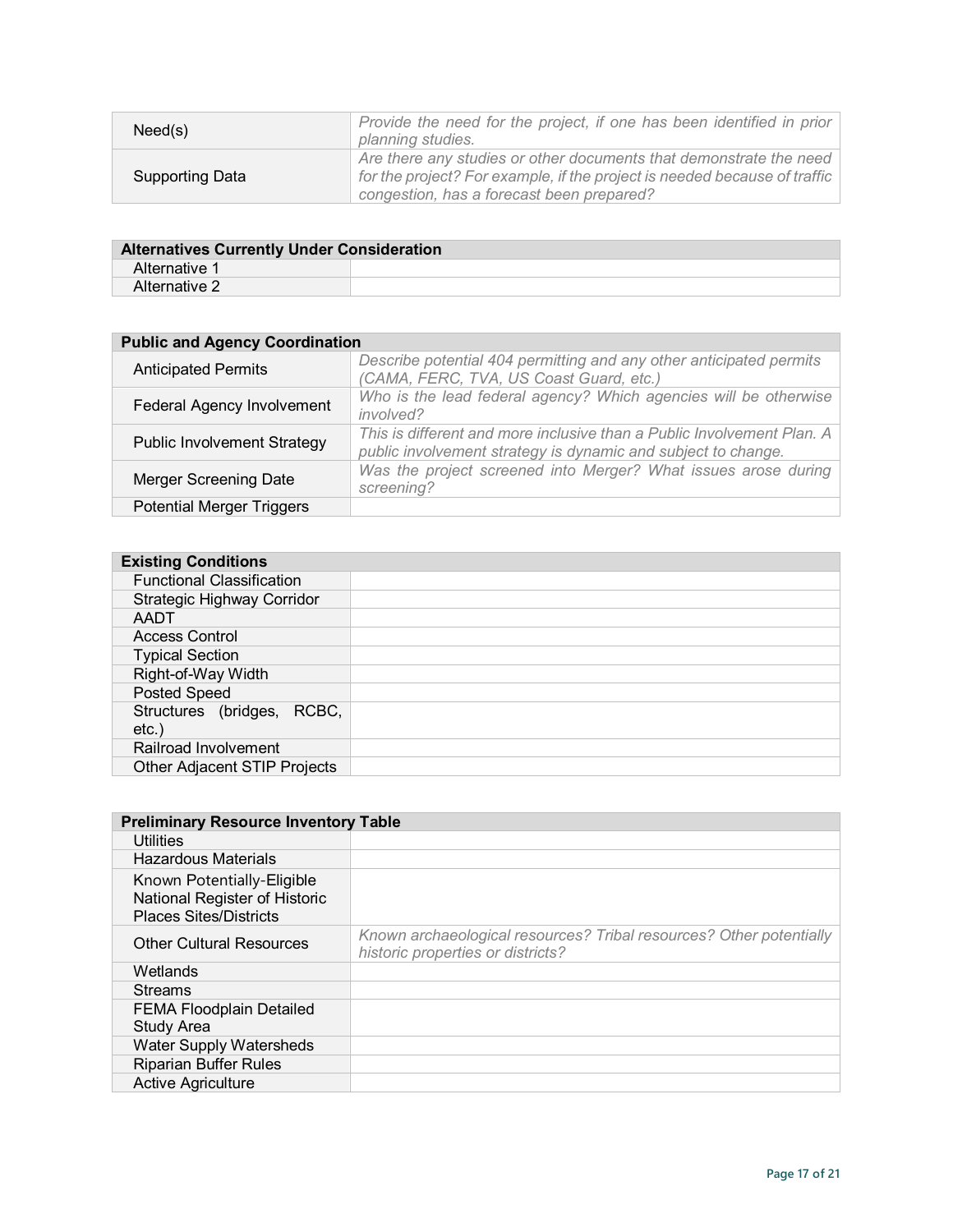| Need(s)                | Provide the need for the project, if one has been identified in prior<br>planning studies.                                                                                                                 |
|------------------------|------------------------------------------------------------------------------------------------------------------------------------------------------------------------------------------------------------|
| <b>Supporting Data</b> | Are there any studies or other documents that demonstrate the need<br>$\mid$ for the project? For example, if the project is needed because of traffic $\mid$<br>congestion, has a forecast been prepared? |

| <b>Alternatives Currently Under Consideration</b> |  |
|---------------------------------------------------|--|
| Alternative 1                                     |  |
| Alternative 2                                     |  |

| <b>Public and Agency Coordination</b> |                                                                                                                                         |
|---------------------------------------|-----------------------------------------------------------------------------------------------------------------------------------------|
| <b>Anticipated Permits</b>            | Describe potential 404 permitting and any other anticipated permits<br>(CAMA, FERC, TVA, US Coast Guard, etc.)                          |
| <b>Federal Agency Involvement</b>     | Who is the lead federal agency? Which agencies will be otherwise<br><i>involved?</i>                                                    |
| <b>Public Involvement Strategy</b>    | This is different and more inclusive than a Public Involvement Plan. A<br>public involvement strategy is dynamic and subject to change. |
| <b>Merger Screening Date</b>          | Was the project screened into Merger? What issues arose during<br>screening?                                                            |
| <b>Potential Merger Triggers</b>      |                                                                                                                                         |

| <b>Existing Conditions</b>             |  |
|----------------------------------------|--|
| <b>Functional Classification</b>       |  |
| <b>Strategic Highway Corridor</b>      |  |
| AADT                                   |  |
| <b>Access Control</b>                  |  |
| <b>Typical Section</b>                 |  |
| Right-of-Way Width                     |  |
| <b>Posted Speed</b>                    |  |
| Structures (bridges, RCBC,<br>$etc.$ ) |  |
| Railroad Involvement                   |  |
| Other Adjacent STIP Projects           |  |

| <b>Preliminary Resource Inventory Table</b>                                                  |                                                                                                          |
|----------------------------------------------------------------------------------------------|----------------------------------------------------------------------------------------------------------|
| Utilities                                                                                    |                                                                                                          |
| <b>Hazardous Materials</b>                                                                   |                                                                                                          |
| Known Potentially-Eligible<br>National Register of Historic<br><b>Places Sites/Districts</b> |                                                                                                          |
| <b>Other Cultural Resources</b>                                                              | Known archaeological resources? Tribal resources? Other potentially<br>historic properties or districts? |
| Wetlands                                                                                     |                                                                                                          |
| <b>Streams</b>                                                                               |                                                                                                          |
| <b>FEMA Floodplain Detailed</b><br><b>Study Area</b>                                         |                                                                                                          |
| <b>Water Supply Watersheds</b>                                                               |                                                                                                          |
| <b>Riparian Buffer Rules</b>                                                                 |                                                                                                          |
| <b>Active Agriculture</b>                                                                    |                                                                                                          |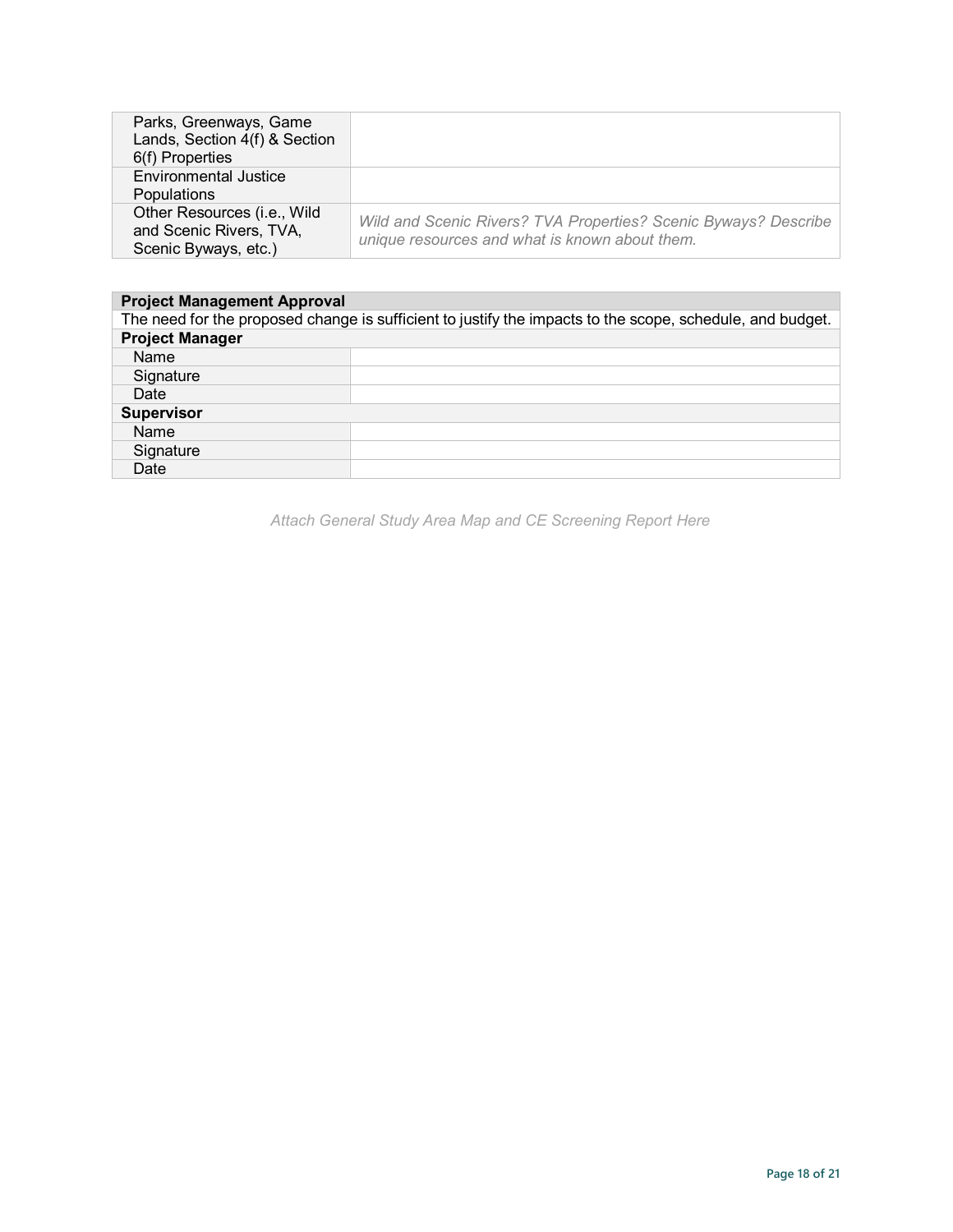| Parks, Greenways, Game<br>Lands, Section 4(f) & Section<br>6(f) Properties     |                                                                                                                   |
|--------------------------------------------------------------------------------|-------------------------------------------------------------------------------------------------------------------|
| <b>Environmental Justice</b><br><b>Populations</b>                             |                                                                                                                   |
| Other Resources (i.e., Wild<br>and Scenic Rivers, TVA,<br>Scenic Byways, etc.) | Wild and Scenic Rivers? TVA Properties? Scenic Byways? Describe<br>unique resources and what is known about them. |

| <b>Project Management Approval</b>                                                                        |  |  |
|-----------------------------------------------------------------------------------------------------------|--|--|
| The need for the proposed change is sufficient to justify the impacts to the scope, schedule, and budget. |  |  |
| <b>Project Manager</b>                                                                                    |  |  |
| Name                                                                                                      |  |  |
| Signature                                                                                                 |  |  |
| Date                                                                                                      |  |  |
| <b>Supervisor</b>                                                                                         |  |  |
| Name                                                                                                      |  |  |
| Signature                                                                                                 |  |  |
| Date                                                                                                      |  |  |

*Attach General Study Area Map and CE Screening Report Here*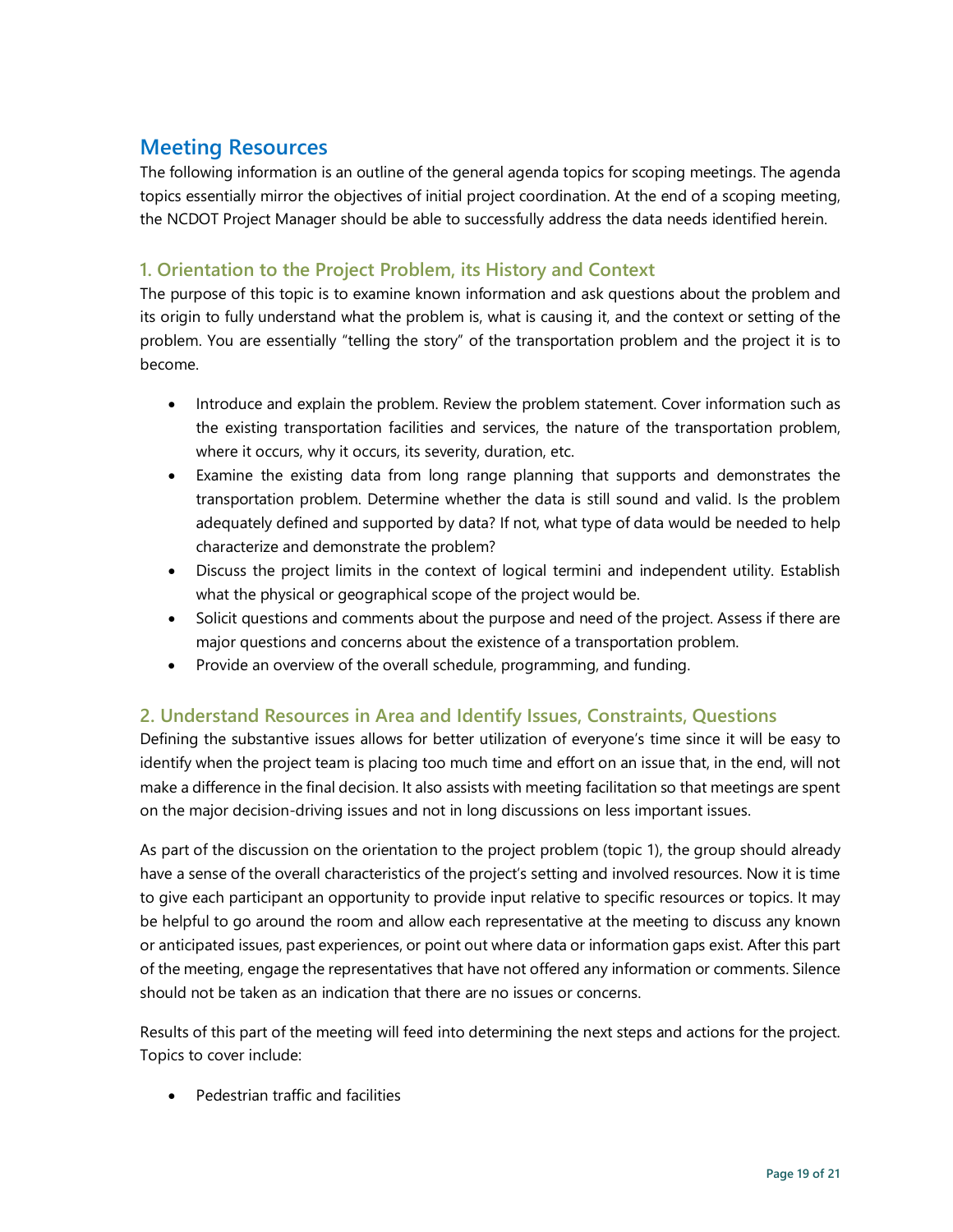# **Meeting Resources**

The following information is an outline of the general agenda topics for scoping meetings. The agenda topics essentially mirror the objectives of initial project coordination. At the end of a scoping meeting, the NCDOT Project Manager should be able to successfully address the data needs identified herein.

#### **1. Orientation to the Project Problem, its History and Context**

The purpose of this topic is to examine known information and ask questions about the problem and its origin to fully understand what the problem is, what is causing it, and the context or setting of the problem. You are essentially "telling the story" of the transportation problem and the project it is to become.

- Introduce and explain the problem. Review the problem statement. Cover information such as the existing transportation facilities and services, the nature of the transportation problem, where it occurs, why it occurs, its severity, duration, etc.
- Examine the existing data from long range planning that supports and demonstrates the transportation problem. Determine whether the data is still sound and valid. Is the problem adequately defined and supported by data? If not, what type of data would be needed to help characterize and demonstrate the problem?
- Discuss the project limits in the context of logical termini and independent utility. Establish what the physical or geographical scope of the project would be.
- Solicit questions and comments about the purpose and need of the project. Assess if there are major questions and concerns about the existence of a transportation problem.
- Provide an overview of the overall schedule, programming, and funding.

#### **2. Understand Resources in Area and Identify Issues, Constraints, Questions**

Defining the substantive issues allows for better utilization of everyone's time since it will be easy to identify when the project team is placing too much time and effort on an issue that, in the end, will not make a difference in the final decision. It also assists with meeting facilitation so that meetings are spent on the major decision-driving issues and not in long discussions on less important issues.

As part of the discussion on the orientation to the project problem (topic 1), the group should already have a sense of the overall characteristics of the project's setting and involved resources. Now it is time to give each participant an opportunity to provide input relative to specific resources or topics. It may be helpful to go around the room and allow each representative at the meeting to discuss any known or anticipated issues, past experiences, or point out where data or information gaps exist. After this part of the meeting, engage the representatives that have not offered any information or comments. Silence should not be taken as an indication that there are no issues or concerns.

Results of this part of the meeting will feed into determining the next steps and actions for the project. Topics to cover include:

• Pedestrian traffic and facilities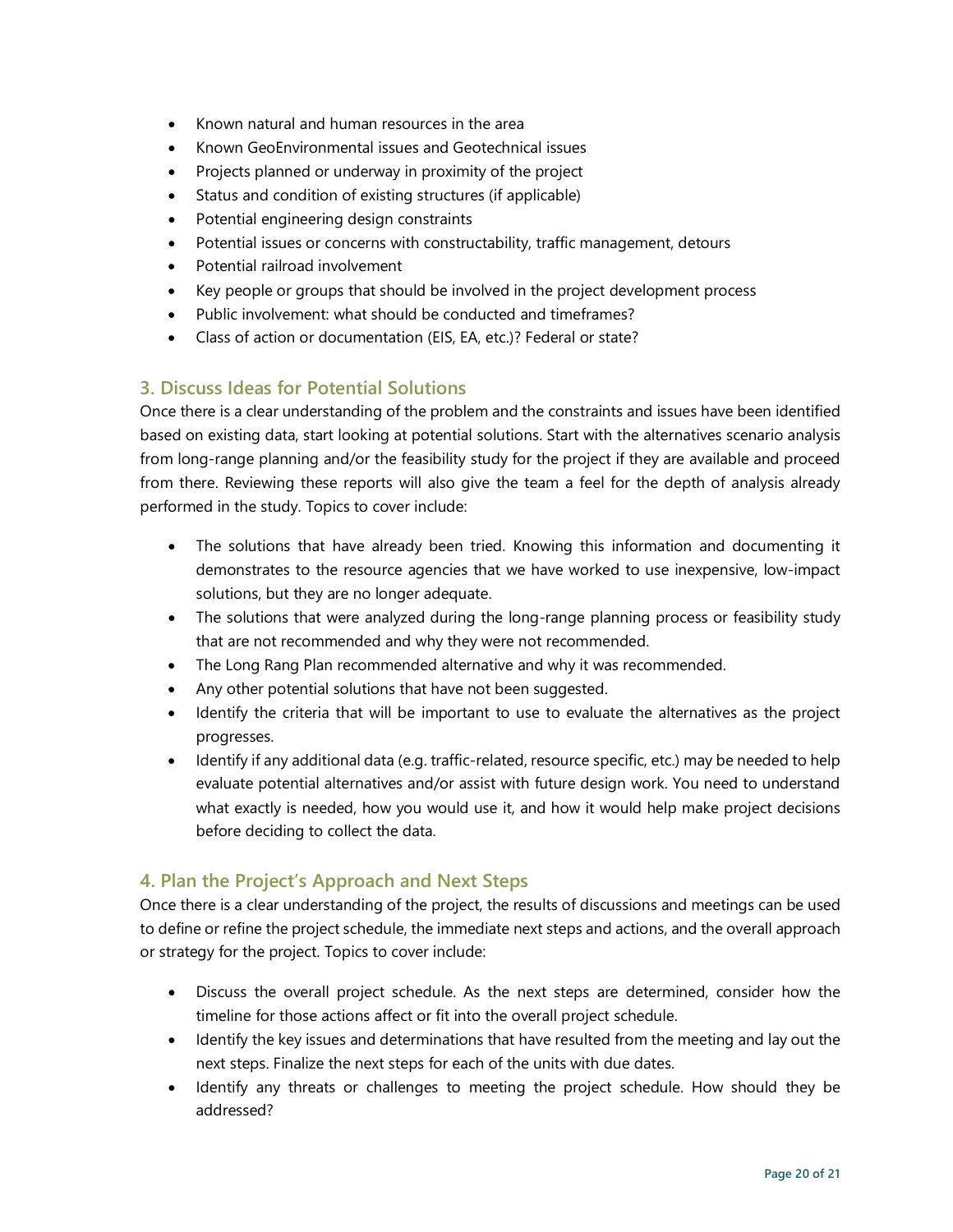- Known natural and human resources in the area
- Known GeoEnvironmental issues and Geotechnical issues
- Projects planned or underway in proximity of the project
- Status and condition of existing structures (if applicable)
- Potential engineering design constraints
- Potential issues or concerns with constructability, traffic management, detours
- Potential railroad involvement
- Key people or groups that should be involved in the project development process
- Public involvement: what should be conducted and timeframes?
- Class of action or documentation (EIS, EA, etc.)? Federal or state?

#### **3. Discuss Ideas for Potential Solutions**

Once there is a clear understanding of the problem and the constraints and issues have been identified based on existing data, start looking at potential solutions. Start with the alternatives scenario analysis from long-range planning and/or the feasibility study for the project if they are available and proceed from there. Reviewing these reports will also give the team a feel for the depth of analysis already performed in the study. Topics to cover include:

- The solutions that have already been tried. Knowing this information and documenting it demonstrates to the resource agencies that we have worked to use inexpensive, low-impact solutions, but they are no longer adequate.
- The solutions that were analyzed during the long-range planning process or feasibility study that are not recommended and why they were not recommended.
- The Long Rang Plan recommended alternative and why it was recommended.
- Any other potential solutions that have not been suggested.
- Identify the criteria that will be important to use to evaluate the alternatives as the project progresses.
- Identify if any additional data (e.g. traffic-related, resource specific, etc.) may be needed to help evaluate potential alternatives and/or assist with future design work. You need to understand what exactly is needed, how you would use it, and how it would help make project decisions before deciding to collect the data.

#### **4. Plan the Project's Approach and Next Steps**

Once there is a clear understanding of the project, the results of discussions and meetings can be used to define or refine the project schedule, the immediate next steps and actions, and the overall approach or strategy for the project. Topics to cover include:

- Discuss the overall project schedule. As the next steps are determined, consider how the timeline for those actions affect or fit into the overall project schedule.
- Identify the key issues and determinations that have resulted from the meeting and lay out the next steps. Finalize the next steps for each of the units with due dates.
- Identify any threats or challenges to meeting the project schedule. How should they be addressed?